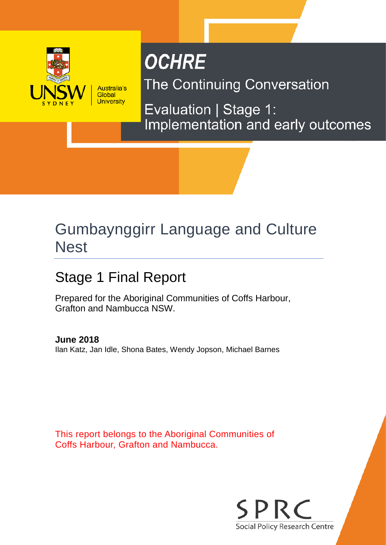

**OCHRE** 

The Continuing Conversation

Evaluation | Stage 1: Implementation and early outcomes

# Gumbaynggirr Language and Culture **Nest**

# Stage 1 Final Report

Prepared for the Aboriginal Communities of Coffs Harbour, Grafton and Nambucca NSW.

**June 2018** Ilan Katz, Jan Idle, Shona Bates, Wendy Jopson, Michael Barnes

This report belongs to the Aboriginal Communities of Coffs Harbour, Grafton and Nambucca.

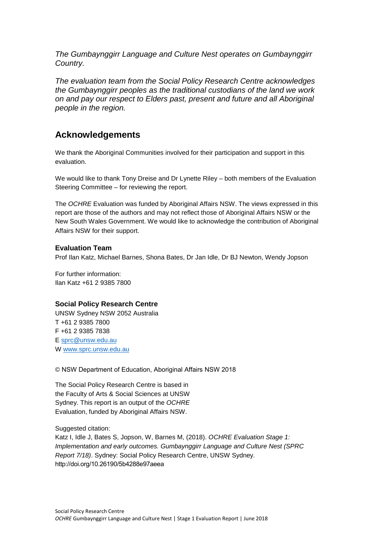*The Gumbaynggirr Language and Culture Nest operates on Gumbaynggirr Country.*

*The evaluation team from the Social Policy Research Centre acknowledges the Gumbaynggirr peoples as the traditional custodians of the land we work on and pay our respect to Elders past, present and future and all Aboriginal people in the region.* 

#### **Acknowledgements**

We thank the Aboriginal Communities involved for their participation and support in this evaluation.

We would like to thank Tony Dreise and Dr Lynette Riley – both members of the Evaluation Steering Committee – for reviewing the report.

The *OCHRE* Evaluation was funded by Aboriginal Affairs NSW. The views expressed in this report are those of the authors and may not reflect those of Aboriginal Affairs NSW or the New South Wales Government. We would like to acknowledge the contribution of Aboriginal Affairs NSW for their support.

#### **Evaluation Team**

Prof Ilan Katz, Michael Barnes, Shona Bates, Dr Jan Idle, Dr BJ Newton, Wendy Jopson

For further information: Ilan Katz +61 2 9385 7800

#### **Social Policy Research Centre**

UNSW Sydney NSW 2052 Australia T +61 2 9385 7800 F +61 2 9385 7838 E [sprc@unsw.edu.au](mailto:sprc@unsw.edu.au) W [www.sprc.unsw.edu.au](http://www.sprc.unsw.edu.au/)

© NSW Department of Education, Aboriginal Affairs NSW 2018

The Social Policy Research Centre is based in the Faculty of Arts & Social Sciences at UNSW Sydney. This report is an output of the *OCHRE* Evaluation, funded by Aboriginal Affairs NSW.

Suggested citation:

Katz I, Idle J, Bates S, Jopson, W, Barnes M, (2018). *OCHRE Evaluation Stage 1: Implementation and early outcomes. Gumbaynggirr Language and Culture Nest (SPRC Report 7/18)*. Sydney: Social Policy Research Centre, UNSW Sydney. <http://doi.org/10.26190/5b4288e97aeea>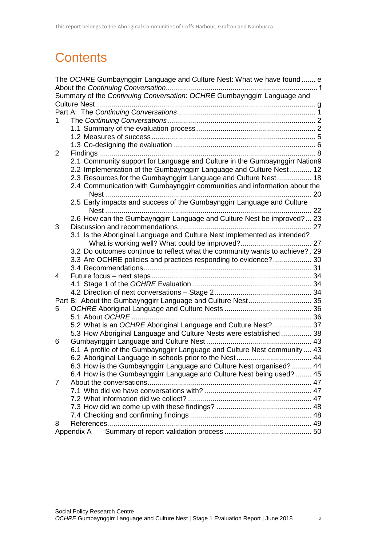# **Contents**

| The OCHRE Gumbaynggirr Language and Culture Nest: What we have found e       |  |
|------------------------------------------------------------------------------|--|
|                                                                              |  |
| Summary of the Continuing Conversation: OCHRE Gumbaynggirr Language and      |  |
|                                                                              |  |
|                                                                              |  |
| 1                                                                            |  |
|                                                                              |  |
|                                                                              |  |
|                                                                              |  |
| 2                                                                            |  |
| 2.1 Community support for Language and Culture in the Gumbaynggirr Nation9   |  |
| 2.2 Implementation of the Gumbaynggirr Language and Culture Nest 12          |  |
| 2.3 Resources for the Gumbaynggirr Language and Culture Nest 18              |  |
| 2.4 Communication with Gumbaynggirr communities and information about the    |  |
|                                                                              |  |
| 2.5 Early impacts and success of the Gumbaynggirr Language and Culture       |  |
|                                                                              |  |
| 2.6 How can the Gumbaynggirr Language and Culture Nest be improved? 23       |  |
| 3                                                                            |  |
| 3.1 Is the Aboriginal Language and Culture Nest implemented as intended?     |  |
|                                                                              |  |
| 3.2 Do outcomes continue to reflect what the community wants to achieve?. 29 |  |
| 3.3 Are OCHRE policies and practices responding to evidence? 30              |  |
|                                                                              |  |
| 4                                                                            |  |
|                                                                              |  |
|                                                                              |  |
| Part B: About the Gumbaynggirr Language and Culture Nest 35                  |  |
| 5                                                                            |  |
|                                                                              |  |
| 5.2 What is an OCHRE Aboriginal Language and Culture Nest?  37               |  |
| 5.3 How Aboriginal Language and Culture Nests were established 38            |  |
| 6                                                                            |  |
| 6.1 A profile of the Gumbaynggirr Language and Culture Nest community 43     |  |
|                                                                              |  |
| 6.3 How is the Gumbaynggirr Language and Culture Nest organised? 44          |  |
| 6.4 How is the Gumbaynggirr Language and Culture Nest being used? 45         |  |
| 7                                                                            |  |
|                                                                              |  |
|                                                                              |  |
|                                                                              |  |
|                                                                              |  |
|                                                                              |  |
| 8                                                                            |  |
| Appendix A                                                                   |  |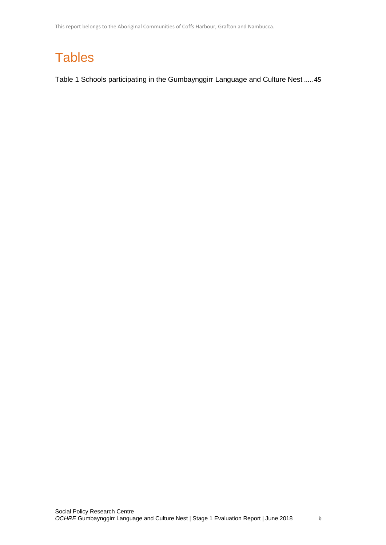# **Tables**

[Table 1 Schools participating in the Gumbaynggirr Language and Culture Nest](#page-60-1) ..... 45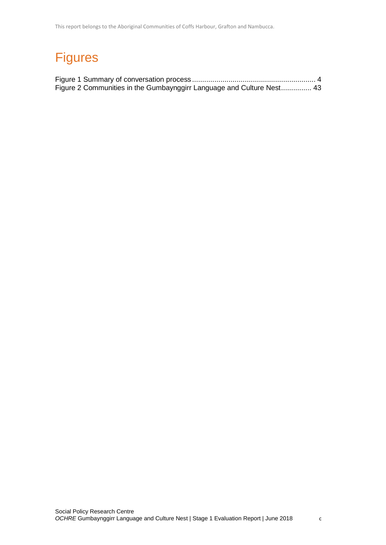# **Figures**

| Figure 2 Communities in the Gumbaynggirr Language and Culture Nest 43 |  |
|-----------------------------------------------------------------------|--|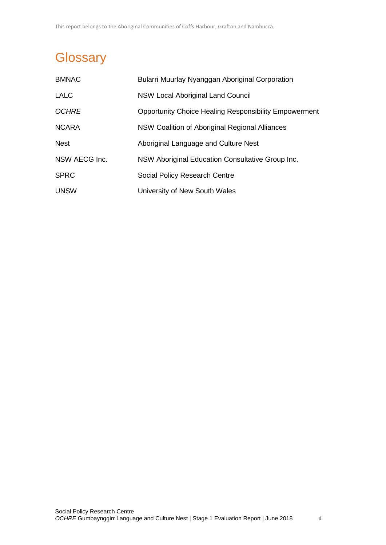# **Glossary**

| <b>BMNAC</b>  | Bularri Muurlay Nyanggan Aboriginal Corporation              |
|---------------|--------------------------------------------------------------|
| <b>LALC</b>   | <b>NSW Local Aboriginal Land Council</b>                     |
| <b>OCHRE</b>  | <b>Opportunity Choice Healing Responsibility Empowerment</b> |
| <b>NCARA</b>  | NSW Coalition of Aboriginal Regional Alliances               |
| <b>Nest</b>   | Aboriginal Language and Culture Nest                         |
| NSW AECG Inc. | NSW Aboriginal Education Consultative Group Inc.             |
| <b>SPRC</b>   | <b>Social Policy Research Centre</b>                         |
| <b>UNSW</b>   | University of New South Wales                                |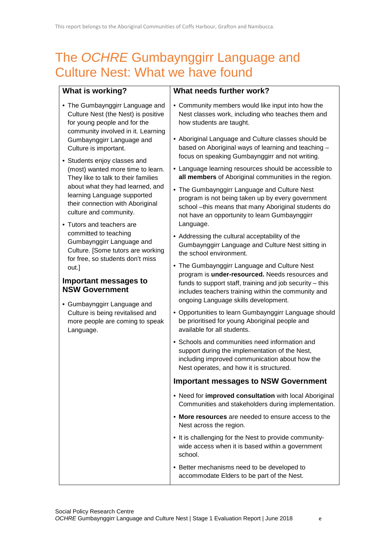# <span id="page-6-0"></span>The *OCHRE* Gumbaynggirr Language and Culture Nest: What we have found

| What is working?                                                                                                                             | What needs further work?                                                                                                                                                                                                                                   |
|----------------------------------------------------------------------------------------------------------------------------------------------|------------------------------------------------------------------------------------------------------------------------------------------------------------------------------------------------------------------------------------------------------------|
| • The Gumbaynggirr Language and<br>Culture Nest (the Nest) is positive<br>for young people and for the<br>community involved in it. Learning | • Community members would like input into how the<br>Nest classes work, including who teaches them and<br>how students are taught.                                                                                                                         |
| Gumbaynggirr Language and<br>Culture is important.                                                                                           | • Aboriginal Language and Culture classes should be<br>based on Aboriginal ways of learning and teaching -<br>focus on speaking Gumbaynggirr and not writing.                                                                                              |
| • Students enjoy classes and<br>(most) wanted more time to learn.<br>They like to talk to their families                                     | • Language learning resources should be accessible to<br>all members of Aboriginal communities in the region.                                                                                                                                              |
| about what they had learned, and<br>learning Language supported<br>their connection with Aboriginal<br>culture and community.                | • The Gumbaynggirr Language and Culture Nest<br>program is not being taken up by every government<br>school -this means that many Aboriginal students do<br>not have an opportunity to learn Gumbaynggirr                                                  |
| • Tutors and teachers are                                                                                                                    | Language.                                                                                                                                                                                                                                                  |
| committed to teaching<br>Gumbaynggirr Language and<br>Culture. [Some tutors are working<br>for free, so students don't miss                  | • Addressing the cultural acceptability of the<br>Gumbaynggirr Language and Culture Nest sitting in<br>the school environment.                                                                                                                             |
| out.]                                                                                                                                        | • The Gumbaynggirr Language and Culture Nest<br>program is under-resourced. Needs resources and<br>funds to support staff, training and job security - this<br>includes teachers training within the community and<br>ongoing Language skills development. |
| Important messages to<br><b>NSW Government</b>                                                                                               |                                                                                                                                                                                                                                                            |
| • Gumbaynggirr Language and<br>Culture is being revitalised and<br>more people are coming to speak<br>Language.                              | • Opportunities to learn Gumbaynggirr Language should<br>be prioritised for young Aboriginal people and<br>available for all students.                                                                                                                     |
|                                                                                                                                              | • Schools and communities need information and<br>support during the implementation of the Nest,<br>including improved communication about how the<br>Nest operates, and how it is structured.                                                             |
|                                                                                                                                              | <b>Important messages to NSW Government</b>                                                                                                                                                                                                                |
|                                                                                                                                              | • Need for improved consultation with local Aboriginal<br>Communities and stakeholders during implementation.                                                                                                                                              |
|                                                                                                                                              | • More resources are needed to ensure access to the<br>Nest across the region.                                                                                                                                                                             |
|                                                                                                                                              | • It is challenging for the Nest to provide community-<br>wide access when it is based within a government<br>school.                                                                                                                                      |
|                                                                                                                                              | • Better mechanisms need to be developed to<br>accommodate Elders to be part of the Nest.                                                                                                                                                                  |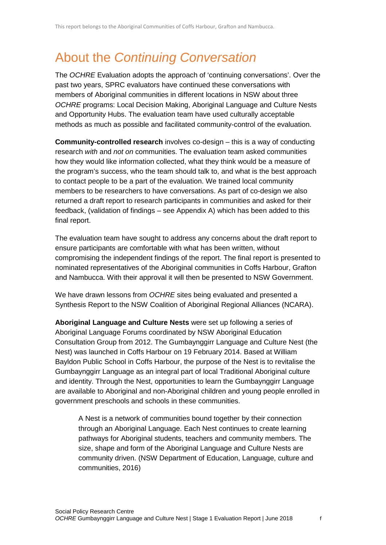# <span id="page-7-0"></span>About the *Continuing Conversation*

The *OCHRE* Evaluation adopts the approach of 'continuing conversations'. Over the past two years, SPRC evaluators have continued these conversations with members of Aboriginal communities in different locations in NSW about three *OCHRE* programs: Local Decision Making, Aboriginal Language and Culture Nests and Opportunity Hubs. The evaluation team have used culturally acceptable methods as much as possible and facilitated community-control of the evaluation.

**Community-controlled research** involves co-design – this is a way of conducting research *with* and *not on* communities. The evaluation team asked communities how they would like information collected, what they think would be a measure of the program's success, who the team should talk to, and what is the best approach to contact people to be a part of the evaluation. We trained local community members to be researchers to have conversations. As part of co-design we also returned a draft report to research participants in communities and asked for their feedback, (validation of findings – see Appendix A) which has been added to this final report.

The evaluation team have sought to address any concerns about the draft report to ensure participants are comfortable with what has been written, without compromising the independent findings of the report. The final report is presented to nominated representatives of the Aboriginal communities in Coffs Harbour, Grafton and Nambucca. With their approval it will then be presented to NSW Government.

We have drawn lessons from *OCHRE* sites being evaluated and presented a Synthesis Report to the NSW Coalition of Aboriginal Regional Alliances (NCARA).

**Aboriginal Language and Culture Nests** were set up following a series of Aboriginal Language Forums coordinated by NSW Aboriginal Education Consultation Group from 2012. The Gumbaynggirr Language and Culture Nest (the Nest) was launched in Coffs Harbour on 19 February 2014. Based at William Bayldon Public School in Coffs Harbour, the purpose of the Nest is to revitalise the Gumbaynggirr Language as an integral part of local Traditional Aboriginal culture and identity. Through the Nest, opportunities to learn the Gumbaynggirr Language are available to Aboriginal and non-Aboriginal children and young people enrolled in government preschools and schools in these communities.

A Nest is a network of communities bound together by their connection through an Aboriginal Language. Each Nest continues to create learning pathways for Aboriginal students, teachers and community members. The size, shape and form of the Aboriginal Language and Culture Nests are community driven. (NSW Department of Education, Language, culture and communities, 2016)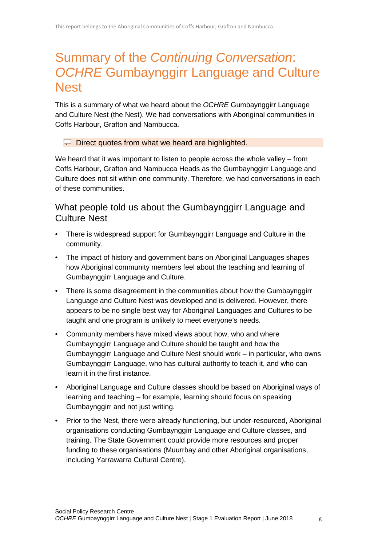# <span id="page-8-0"></span>Summary of the *Continuing Conversation*: *OCHRE* Gumbaynggirr Language and Culture Nest

This is a summary of what we heard about the *OCHRE* Gumbaynggirr Language and Culture Nest (the Nest). We had conversations with Aboriginal communities in Coffs Harbour, Grafton and Nambucca.

#### $\Box$  Direct quotes from what we heard are highlighted.

We heard that it was important to listen to people across the whole valley – from Coffs Harbour, Grafton and Nambucca Heads as the Gumbaynggirr Language and Culture does not sit within one community. Therefore, we had conversations in each of these communities.

#### What people told us about the Gumbaynggirr Language and Culture Nest

- There is widespread support for Gumbaynggirr Language and Culture in the community.
- The impact of history and government bans on Aboriginal Languages shapes how Aboriginal community members feel about the teaching and learning of Gumbaynggirr Language and Culture.
- There is some disagreement in the communities about how the Gumbaynggirr Language and Culture Nest was developed and is delivered. However, there appears to be no single best way for Aboriginal Languages and Cultures to be taught and one program is unlikely to meet everyone's needs.
- Community members have mixed views about how, who and where Gumbaynggirr Language and Culture should be taught and how the Gumbaynggirr Language and Culture Nest should work – in particular, who owns Gumbaynggirr Language, who has cultural authority to teach it, and who can learn it in the first instance.
- Aboriginal Language and Culture classes should be based on Aboriginal ways of learning and teaching – for example, learning should focus on speaking Gumbaynggirr and not just writing.
- Prior to the Nest, there were already functioning, but under-resourced, Aboriginal organisations conducting Gumbaynggirr Language and Culture classes, and training. The State Government could provide more resources and proper funding to these organisations (Muurrbay and other Aboriginal organisations, including Yarrawarra Cultural Centre).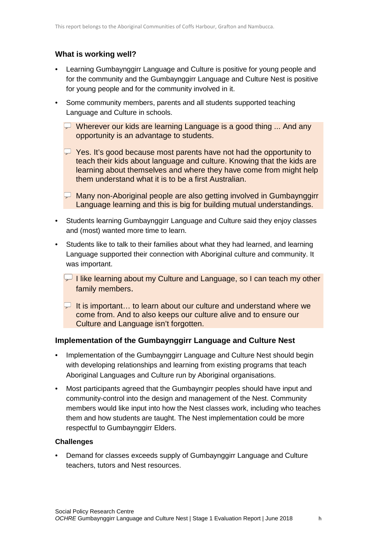#### **What is working well?**

- Learning Gumbaynggirr Language and Culture is positive for young people and for the community and the Gumbaynggirr Language and Culture Nest is positive for young people and for the community involved in it.
- Some community members, parents and all students supported teaching Language and Culture in schools.
	- $\Box$  Wherever our kids are learning Language is a good thing  $\Box$ . And any opportunity is an advantage to students.
	- $\Box$  Yes. It's good because most parents have not had the opportunity to teach their kids about language and culture. Knowing that the kids are learning about themselves and where they have come from might help them understand what it is to be a first Australian.
	- **E** Many non-Aboriginal people are also getting involved in Gumbaynggirr Language learning and this is big for building mutual understandings.
- Students learning Gumbaynggirr Language and Culture said they enjoy classes and (most) wanted more time to learn.
- Students like to talk to their families about what they had learned, and learning Language supported their connection with Aboriginal culture and community. It was important.
	- $\Box$  I like learning about my Culture and Language, so I can teach my other family members.
	- $\Box$  It is important... to learn about our culture and understand where we come from. And to also keeps our culture alive and to ensure our Culture and Language isn't forgotten.

#### **Implementation of the Gumbaynggirr Language and Culture Nest**

- Implementation of the Gumbaynggirr Language and Culture Nest should begin with developing relationships and learning from existing programs that teach Aboriginal Languages and Culture run by Aboriginal organisations.
- Most participants agreed that the Gumbayngirr peoples should have input and community-control into the design and management of the Nest. Community members would like input into how the Nest classes work, including who teaches them and how students are taught. The Nest implementation could be more respectful to Gumbaynggirr Elders.

#### **Challenges**

• Demand for classes exceeds supply of Gumbaynggirr Language and Culture teachers, tutors and Nest resources.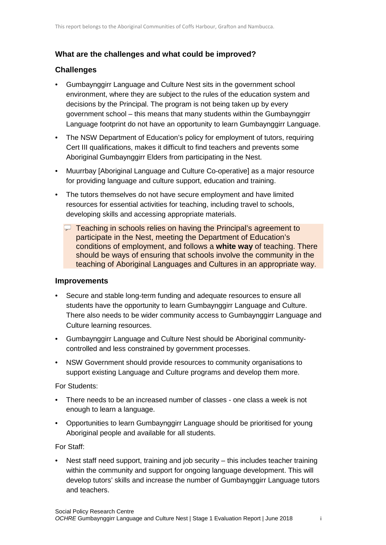#### **What are the challenges and what could be improved?**

#### **Challenges**

- Gumbaynggirr Language and Culture Nest sits in the government school environment, where they are subject to the rules of the education system and decisions by the Principal. The program is not being taken up by every government school – this means that many students within the Gumbaynggirr Language footprint do not have an opportunity to learn Gumbaynggirr Language.
- The NSW Department of Education's policy for employment of tutors, requiring Cert III qualifications, makes it difficult to find teachers and prevents some Aboriginal Gumbaynggirr Elders from participating in the Nest.
- Muurrbay [Aboriginal Language and Culture Co-operative] as a major resource for providing language and culture support, education and training.
- The tutors themselves do not have secure employment and have limited resources for essential activities for teaching, including travel to schools, developing skills and accessing appropriate materials.
	- $\Box$  Teaching in schools relies on having the Principal's agreement to participate in the Nest, meeting the Department of Education's conditions of employment, and follows a **white way** of teaching. There should be ways of ensuring that schools involve the community in the teaching of Aboriginal Languages and Cultures in an appropriate way.

#### **Improvements**

- Secure and stable long-term funding and adequate resources to ensure all students have the opportunity to learn Gumbaynggirr Language and Culture. There also needs to be wider community access to Gumbaynggirr Language and Culture learning resources.
- Gumbaynggirr Language and Culture Nest should be Aboriginal communitycontrolled and less constrained by government processes.
- NSW Government should provide resources to community organisations to support existing Language and Culture programs and develop them more.

#### For Students:

- There needs to be an increased number of classes one class a week is not enough to learn a language.
- Opportunities to learn Gumbaynggirr Language should be prioritised for young Aboriginal people and available for all students.

For Staff:

Nest staff need support, training and job security – this includes teacher training within the community and support for ongoing language development. This will develop tutors' skills and increase the number of Gumbaynggirr Language tutors and teachers.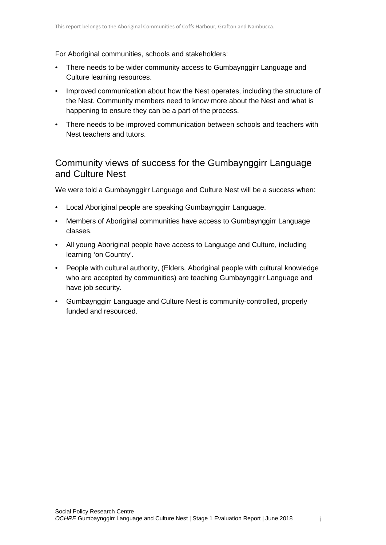For Aboriginal communities, schools and stakeholders:

- There needs to be wider community access to Gumbaynggirr Language and Culture learning resources.
- Improved communication about how the Nest operates, including the structure of the Nest. Community members need to know more about the Nest and what is happening to ensure they can be a part of the process.
- There needs to be improved communication between schools and teachers with Nest teachers and tutors.

#### Community views of success for the Gumbaynggirr Language and Culture Nest

We were told a Gumbaynggirr Language and Culture Nest will be a success when:

- Local Aboriginal people are speaking Gumbaynggirr Language.
- Members of Aboriginal communities have access to Gumbaynggirr Language classes.
- All young Aboriginal people have access to Language and Culture, including learning 'on Country'.
- People with cultural authority, (Elders, Aboriginal people with cultural knowledge who are accepted by communities) are teaching Gumbaynggirr Language and have job security.
- Gumbaynggirr Language and Culture Nest is community-controlled, properly funded and resourced.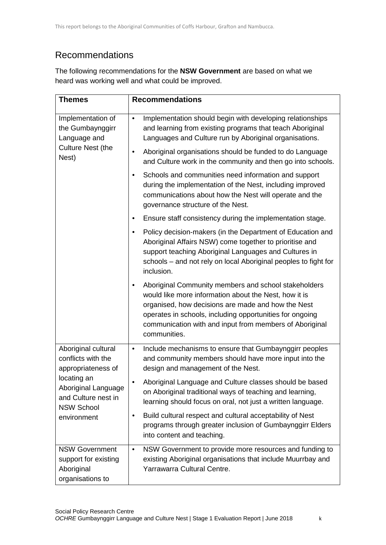### Recommendations

The following recommendations for the **NSW Government** are based on what we heard was working well and what could be improved.

| <b>Themes</b>                                                                                                                                                    | <b>Recommendations</b>                                                                                                                                                                                                                                                                                          |  |
|------------------------------------------------------------------------------------------------------------------------------------------------------------------|-----------------------------------------------------------------------------------------------------------------------------------------------------------------------------------------------------------------------------------------------------------------------------------------------------------------|--|
| Implementation of<br>the Gumbaynggirr<br>Language and                                                                                                            | Implementation should begin with developing relationships<br>$\bullet$<br>and learning from existing programs that teach Aboriginal<br>Languages and Culture run by Aboriginal organisations.                                                                                                                   |  |
| <b>Culture Nest (the</b><br>Nest)                                                                                                                                | Aboriginal organisations should be funded to do Language<br>$\bullet$<br>and Culture work in the community and then go into schools.                                                                                                                                                                            |  |
|                                                                                                                                                                  | Schools and communities need information and support<br>٠<br>during the implementation of the Nest, including improved<br>communications about how the Nest will operate and the<br>governance structure of the Nest.                                                                                           |  |
|                                                                                                                                                                  | Ensure staff consistency during the implementation stage.<br>$\bullet$                                                                                                                                                                                                                                          |  |
|                                                                                                                                                                  | Policy decision-makers (in the Department of Education and<br>٠<br>Aboriginal Affairs NSW) come together to prioritise and<br>support teaching Aboriginal Languages and Cultures in<br>schools – and not rely on local Aboriginal peoples to fight for<br>inclusion.                                            |  |
|                                                                                                                                                                  | Aboriginal Community members and school stakeholders<br>٠<br>would like more information about the Nest, how it is<br>organised, how decisions are made and how the Nest<br>operates in schools, including opportunities for ongoing<br>communication with and input from members of Aboriginal<br>communities. |  |
| Aboriginal cultural<br>conflicts with the<br>appropriateness of<br>locating an<br>Aboriginal Language<br>and Culture nest in<br><b>NSW School</b><br>environment | Include mechanisms to ensure that Gumbaynggirr peoples<br>$\bullet$<br>and community members should have more input into the<br>design and management of the Nest.                                                                                                                                              |  |
|                                                                                                                                                                  | Aboriginal Language and Culture classes should be based<br>٠<br>on Aboriginal traditional ways of teaching and learning,<br>learning should focus on oral, not just a written language.                                                                                                                         |  |
|                                                                                                                                                                  | Build cultural respect and cultural acceptability of Nest<br>$\bullet$<br>programs through greater inclusion of Gumbaynggirr Elders<br>into content and teaching.                                                                                                                                               |  |
| <b>NSW Government</b><br>support for existing<br>Aboriginal<br>organisations to                                                                                  | NSW Government to provide more resources and funding to<br>$\bullet$<br>existing Aboriginal organisations that include Muurrbay and<br>Yarrawarra Cultural Centre.                                                                                                                                              |  |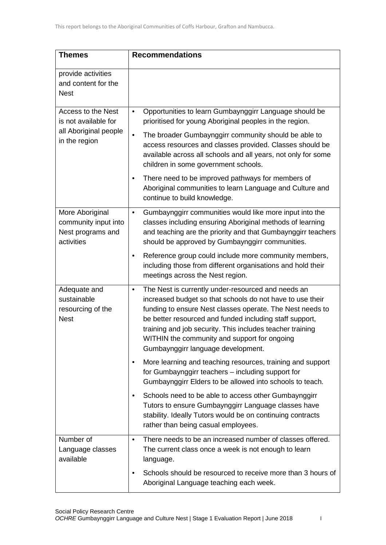| <b>Themes</b>                                                              | <b>Recommendations</b>                                                                                                                                                                                                                                                                                                                                                                                  |
|----------------------------------------------------------------------------|---------------------------------------------------------------------------------------------------------------------------------------------------------------------------------------------------------------------------------------------------------------------------------------------------------------------------------------------------------------------------------------------------------|
| provide activities<br>and content for the<br><b>Nest</b>                   |                                                                                                                                                                                                                                                                                                                                                                                                         |
| Access to the Nest<br>is not available for                                 | Opportunities to learn Gumbaynggirr Language should be<br>$\bullet$<br>prioritised for young Aboriginal peoples in the region.                                                                                                                                                                                                                                                                          |
| all Aboriginal people<br>in the region                                     | The broader Gumbaynggirr community should be able to<br>$\bullet$<br>access resources and classes provided. Classes should be<br>available across all schools and all years, not only for some<br>children in some government schools.                                                                                                                                                                  |
|                                                                            | There need to be improved pathways for members of<br>$\bullet$<br>Aboriginal communities to learn Language and Culture and<br>continue to build knowledge.                                                                                                                                                                                                                                              |
| More Aboriginal<br>community input into<br>Nest programs and<br>activities | Gumbaynggirr communities would like more input into the<br>$\bullet$<br>classes including ensuring Aboriginal methods of learning<br>and teaching are the priority and that Gumbaynggirr teachers<br>should be approved by Gumbaynggirr communities.                                                                                                                                                    |
|                                                                            | Reference group could include more community members,<br>$\bullet$<br>including those from different organisations and hold their<br>meetings across the Nest region.                                                                                                                                                                                                                                   |
| Adequate and<br>sustainable<br>resourcing of the<br><b>Nest</b>            | The Nest is currently under-resourced and needs an<br>$\bullet$<br>increased budget so that schools do not have to use their<br>funding to ensure Nest classes operate. The Nest needs to<br>be better resourced and funded including staff support,<br>training and job security. This includes teacher training<br>WITHIN the community and support for ongoing<br>Gumbaynggirr language development. |
|                                                                            | More learning and teaching resources, training and support<br>$\bullet$<br>for Gumbaynggirr teachers - including support for<br>Gumbaynggirr Elders to be allowed into schools to teach.                                                                                                                                                                                                                |
|                                                                            | Schools need to be able to access other Gumbaynggirr<br>$\bullet$<br>Tutors to ensure Gumbaynggirr Language classes have<br>stability. Ideally Tutors would be on continuing contracts<br>rather than being casual employees.                                                                                                                                                                           |
| Number of<br>Language classes<br>available                                 | There needs to be an increased number of classes offered.<br>$\bullet$<br>The current class once a week is not enough to learn<br>language.                                                                                                                                                                                                                                                             |
|                                                                            | Schools should be resourced to receive more than 3 hours of<br>$\bullet$<br>Aboriginal Language teaching each week.                                                                                                                                                                                                                                                                                     |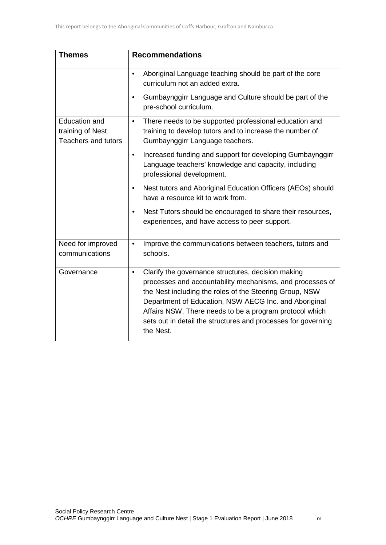| <b>Themes</b>                                                          | <b>Recommendations</b>                                                                                                                                                                                                                                                                                                                                                                    |  |
|------------------------------------------------------------------------|-------------------------------------------------------------------------------------------------------------------------------------------------------------------------------------------------------------------------------------------------------------------------------------------------------------------------------------------------------------------------------------------|--|
|                                                                        | Aboriginal Language teaching should be part of the core<br>$\bullet$<br>curriculum not an added extra.                                                                                                                                                                                                                                                                                    |  |
|                                                                        | Gumbaynggirr Language and Culture should be part of the<br>$\bullet$<br>pre-school curriculum.                                                                                                                                                                                                                                                                                            |  |
| <b>Education and</b><br>training of Nest<br><b>Teachers and tutors</b> | There needs to be supported professional education and<br>$\bullet$<br>training to develop tutors and to increase the number of<br>Gumbaynggirr Language teachers.                                                                                                                                                                                                                        |  |
|                                                                        | Increased funding and support for developing Gumbaynggirr<br>٠<br>Language teachers' knowledge and capacity, including<br>professional development.                                                                                                                                                                                                                                       |  |
|                                                                        | Nest tutors and Aboriginal Education Officers (AEOs) should<br>$\bullet$<br>have a resource kit to work from.                                                                                                                                                                                                                                                                             |  |
|                                                                        | Nest Tutors should be encouraged to share their resources,<br>$\bullet$<br>experiences, and have access to peer support.                                                                                                                                                                                                                                                                  |  |
| Need for improved<br>communications                                    | Improve the communications between teachers, tutors and<br>$\bullet$<br>schools.                                                                                                                                                                                                                                                                                                          |  |
| Governance                                                             | Clarify the governance structures, decision making<br>$\bullet$<br>processes and accountability mechanisms, and processes of<br>the Nest including the roles of the Steering Group, NSW<br>Department of Education, NSW AECG Inc. and Aboriginal<br>Affairs NSW. There needs to be a program protocol which<br>sets out in detail the structures and processes for governing<br>the Nest. |  |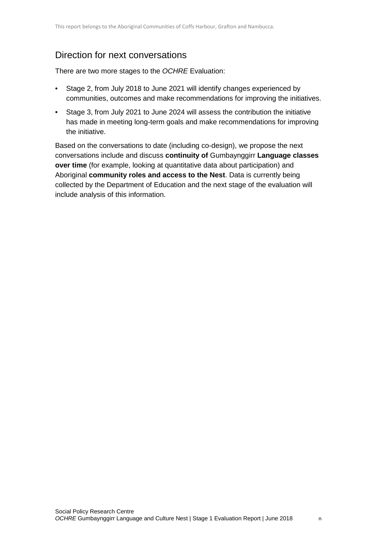### Direction for next conversations

There are two more stages to the *OCHRE* Evaluation:

- Stage 2, from July 2018 to June 2021 will identify changes experienced by communities, outcomes and make recommendations for improving the initiatives.
- Stage 3, from July 2021 to June 2024 will assess the contribution the initiative has made in meeting long-term goals and make recommendations for improving the initiative.

Based on the conversations to date (including co-design), we propose the next conversations include and discuss **continuity of** Gumbaynggirr **Language classes over time** (for example, looking at quantitative data about participation) and Aboriginal **community roles and access to the Nest**. Data is currently being collected by the Department of Education and the next stage of the evaluation will include analysis of this information.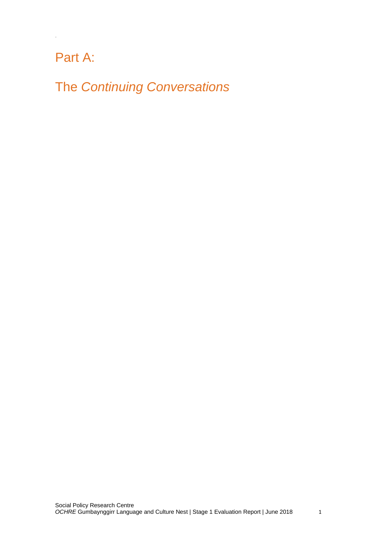<span id="page-16-0"></span>Part A:

.

The *Continuing Conversations*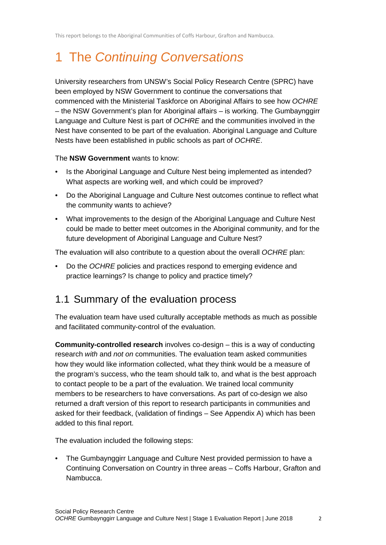# <span id="page-17-0"></span>1 The *Continuing Conversations*

University researchers from UNSW's Social Policy Research Centre (SPRC) have been employed by NSW Government to continue the conversations that commenced with the Ministerial Taskforce on Aboriginal Affairs to see how *OCHRE* – the NSW Government's plan for Aboriginal affairs – is working. The Gumbaynggirr Language and Culture Nest is part of *OCHRE* and the communities involved in the Nest have consented to be part of the evaluation. Aboriginal Language and Culture Nests have been established in public schools as part of *OCHRE*.

#### The **NSW Government** wants to know:

- Is the Aboriginal Language and Culture Nest being implemented as intended? What aspects are working well, and which could be improved?
- Do the Aboriginal Language and Culture Nest outcomes continue to reflect what the community wants to achieve?
- What improvements to the design of the Aboriginal Language and Culture Nest could be made to better meet outcomes in the Aboriginal community, and for the future development of Aboriginal Language and Culture Nest?

The evaluation will also contribute to a question about the overall *OCHRE* plan:

• Do the *OCHRE* policies and practices respond to emerging evidence and practice learnings? Is change to policy and practice timely?

### <span id="page-17-1"></span>1.1 Summary of the evaluation process

The evaluation team have used culturally acceptable methods as much as possible and facilitated community-control of the evaluation.

**Community-controlled research** involves co-design – this is a way of conducting research *with* and *not on* communities. The evaluation team asked communities how they would like information collected, what they think would be a measure of the program's success, who the team should talk to, and what is the best approach to contact people to be a part of the evaluation. We trained local community members to be researchers to have conversations. As part of co-design we also returned a draft version of this report to research participants in communities and asked for their feedback, (validation of findings – See Appendix A) which has been added to this final report.

The evaluation included the following steps:

• The Gumbaynggirr Language and Culture Nest provided permission to have a Continuing Conversation on Country in three areas – Coffs Harbour, Grafton and Nambucca.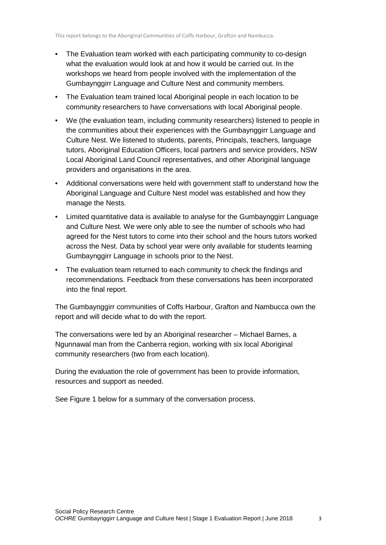- The Evaluation team worked with each participating community to co-design what the evaluation would look at and how it would be carried out. In the workshops we heard from people involved with the implementation of the Gumbaynggirr Language and Culture Nest and community members.
- The Evaluation team trained local Aboriginal people in each location to be community researchers to have conversations with local Aboriginal people.
- We (the evaluation team, including community researchers) listened to people in the communities about their experiences with the Gumbaynggirr Language and Culture Nest. We listened to students, parents, Principals, teachers, language tutors, Aboriginal Education Officers, local partners and service providers, NSW Local Aboriginal Land Council representatives, and other Aboriginal language providers and organisations in the area.
- Additional conversations were held with government staff to understand how the Aboriginal Language and Culture Nest model was established and how they manage the Nests.
- Limited quantitative data is available to analyse for the Gumbaynggirr Language and Culture Nest. We were only able to see the number of schools who had agreed for the Nest tutors to come into their school and the hours tutors worked across the Nest. Data by school year were only available for students learning Gumbaynggirr Language in schools prior to the Nest.
- The evaluation team returned to each community to check the findings and recommendations. Feedback from these conversations has been incorporated into the final report.

The Gumbaynggirr communities of Coffs Harbour, Grafton and Nambucca own the report and will decide what to do with the report.

The conversations were led by an Aboriginal researcher – Michael Barnes, a Ngunnawal man from the Canberra region, working with six local Aboriginal community researchers (two from each location).

During the evaluation the role of government has been to provide information, resources and support as needed.

See Figure 1 below for a summary of the conversation process.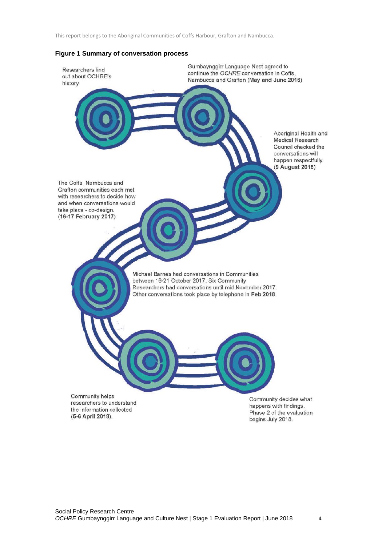This report belongs to the Aboriginal Communities of Coffs Harbour, Grafton and Nambucca.



#### <span id="page-19-0"></span>**Figure 1 Summary of conversation process**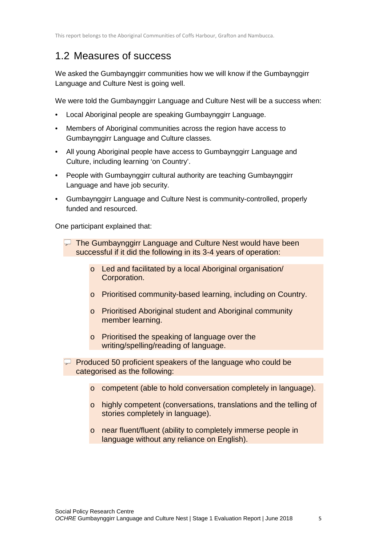# <span id="page-20-0"></span>1.2 Measures of success

We asked the Gumbaynggirr communities how we will know if the Gumbaynggirr Language and Culture Nest is going well.

We were told the Gumbaynggirr Language and Culture Nest will be a success when:

- Local Aboriginal people are speaking Gumbaynggirr Language.
- Members of Aboriginal communities across the region have access to Gumbaynggirr Language and Culture classes.
- All young Aboriginal people have access to Gumbaynggirr Language and Culture, including learning 'on Country'.
- People with Gumbaynggirr cultural authority are teaching Gumbaynggirr Language and have job security.
- Gumbaynggirr Language and Culture Nest is community-controlled, properly funded and resourced.

One participant explained that:

- **E.** The Gumbaynggirr Language and Culture Nest would have been successful if it did the following in its 3-4 years of operation:
	- o Led and facilitated by a local Aboriginal organisation/ Corporation.
	- o Prioritised community-based learning, including on Country.
	- o Prioritised Aboriginal student and Aboriginal community member learning.
	- o Prioritised the speaking of language over the writing/spelling/reading of language.
- $\Box$  Produced 50 proficient speakers of the language who could be categorised as the following:
	- o competent (able to hold conversation completely in language).
	- o highly competent (conversations, translations and the telling of stories completely in language).
	- o near fluent/fluent (ability to completely immerse people in language without any reliance on English).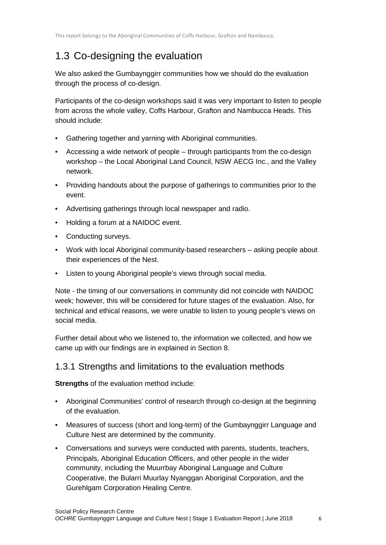# <span id="page-21-0"></span>1.3 Co-designing the evaluation

We also asked the Gumbaynggirr communities how we should do the evaluation through the process of co-design.

Participants of the co-design workshops said it was very important to listen to people from across the whole valley, Coffs Harbour, Grafton and Nambucca Heads. This should include:

- Gathering together and yarning with Aboriginal communities.
- Accessing a wide network of people through participants from the co-design workshop – the Local Aboriginal Land Council, NSW AECG Inc., and the Valley network.
- Providing handouts about the purpose of gatherings to communities prior to the event.
- Advertising gatherings through local newspaper and radio.
- Holding a forum at a NAIDOC event.
- Conducting surveys.
- Work with local Aboriginal community-based researchers asking people about their experiences of the Nest.
- Listen to young Aboriginal people's views through social media.

Note - the timing of our conversations in community did not coincide with NAIDOC week; however, this will be considered for future stages of the evaluation. Also, for technical and ethical reasons, we were unable to listen to young people's views on social media.

Further detail about who we listened to, the information we collected, and how we came up with our findings are in explained in Section [8.](#page-62-0)

#### 1.3.1 Strengths and limitations to the evaluation methods

**Strengths** of the evaluation method include:

- Aboriginal Communities' control of research through co-design at the beginning of the evaluation.
- Measures of success (short and long-term) of the Gumbaynggirr Language and Culture Nest are determined by the community.
- Conversations and surveys were conducted with parents, students, teachers, Principals, Aboriginal Education Officers, and other people in the wider community, including the Muurrbay Aboriginal Language and Culture Cooperative, the Bularri Muurlay Nyanggan Aboriginal Corporation, and the Gurehlgam Corporation Healing Centre.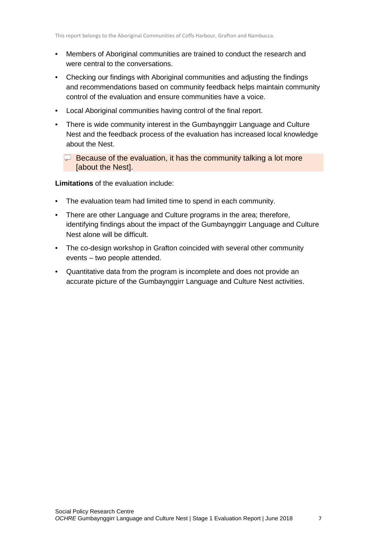- Members of Aboriginal communities are trained to conduct the research and were central to the conversations.
- Checking our findings with Aboriginal communities and adjusting the findings and recommendations based on community feedback helps maintain community control of the evaluation and ensure communities have a voice.
- Local Aboriginal communities having control of the final report.
- There is wide community interest in the Gumbaynggirr Language and Culture Nest and the feedback process of the evaluation has increased local knowledge about the Nest.
	- $\Box$  Because of the evaluation, it has the community talking a lot more [about the Nest].

**Limitations** of the evaluation include:

- The evaluation team had limited time to spend in each community.
- There are other Language and Culture programs in the area; therefore, identifying findings about the impact of the Gumbaynggirr Language and Culture Nest alone will be difficult.
- The co-design workshop in Grafton coincided with several other community events – two people attended.
- Quantitative data from the program is incomplete and does not provide an accurate picture of the Gumbaynggirr Language and Culture Nest activities.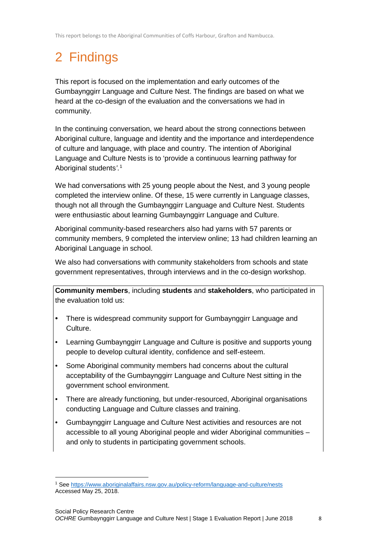# <span id="page-23-0"></span>2 Findings

<u>.</u>

This report is focused on the implementation and early outcomes of the Gumbaynggirr Language and Culture Nest. The findings are based on what we heard at the co-design of the evaluation and the conversations we had in community.

In the continuing conversation, we heard about the strong connections between Aboriginal culture, language and identity and the importance and interdependence of culture and language, with place and country. The intention of Aboriginal Language and Culture Nests is to 'provide a continuous learning pathway for Aboriginal students*'*. [1](#page-23-1)

We had conversations with 25 young people about the Nest, and 3 young people completed the interview online. Of these, 15 were currently in Language classes, though not all through the Gumbaynggirr Language and Culture Nest. Students were enthusiastic about learning Gumbaynggirr Language and Culture.

Aboriginal community-based researchers also had yarns with 57 parents or community members, 9 completed the interview online; 13 had children learning an Aboriginal Language in school.

We also had conversations with community stakeholders from schools and state government representatives, through interviews and in the co-design workshop.

**Community members**, including **students** and **stakeholders**, who participated in the evaluation told us:

- There is widespread community support for Gumbaynggirr Language and Culture.
- Learning Gumbaynggirr Language and Culture is positive and supports young people to develop cultural identity, confidence and self-esteem.
- Some Aboriginal community members had concerns about the cultural acceptability of the Gumbaynggirr Language and Culture Nest sitting in the government school environment.
- There are already functioning, but under-resourced, Aboriginal organisations conducting Language and Culture classes and training.
- Gumbaynggirr Language and Culture Nest activities and resources are not accessible to all young Aboriginal people and wider Aboriginal communities – and only to students in participating government schools.

<span id="page-23-1"></span><sup>1</sup> Se[e https://www.aboriginalaffairs.nsw.gov.au/policy-reform/language-and-culture/nests](https://www.aboriginalaffairs.nsw.gov.au/policy-reform/language-and-culture/nests) Accessed May 25, 2018.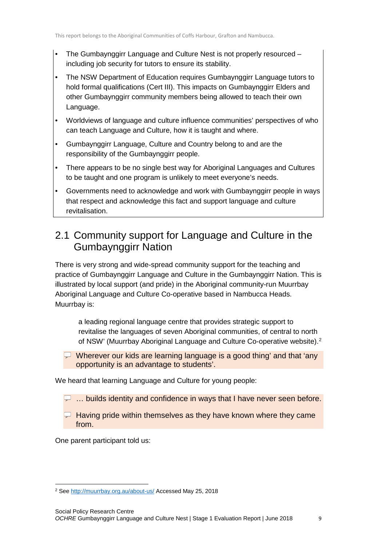- The Gumbaynggirr Language and Culture Nest is not properly resourced including job security for tutors to ensure its stability.
- The NSW Department of Education requires Gumbaynggirr Language tutors to hold formal qualifications (Cert III). This impacts on Gumbaynggirr Elders and other Gumbaynggirr community members being allowed to teach their own Language.
- Worldviews of language and culture influence communities' perspectives of who can teach Language and Culture, how it is taught and where.
- Gumbaynggirr Language, Culture and Country belong to and are the responsibility of the Gumbaynggirr people.
- There appears to be no single best way for Aboriginal Languages and Cultures to be taught and one program is unlikely to meet everyone's needs.
- Governments need to acknowledge and work with Gumbaynggirr people in ways that respect and acknowledge this fact and support language and culture revitalisation.

# <span id="page-24-0"></span>2.1 Community support for Language and Culture in the Gumbaynggirr Nation

There is very strong and wide-spread community support for the teaching and practice of Gumbaynggirr Language and Culture in the Gumbaynggirr Nation. This is illustrated by local support (and pride) in the Aboriginal community-run Muurrbay Aboriginal Language and Culture Co-operative based in Nambucca Heads. Muurrbay is:

a leading regional language centre that provides strategic support to revitalise the languages of seven Aboriginal communities, of central to north of NSW' (Muurrbay Aboriginal Language and Culture Co-operative website).[2](#page-24-1)

 $\Box$  Wherever our kids are learning language is a good thing' and that 'any opportunity is an advantage to students'.

We heard that learning Language and Culture for young people:

- $\Box$  ... builds identity and confidence in ways that I have never seen before.
- $\Box$  Having pride within themselves as they have known where they came from.

One parent participant told us:

<span id="page-24-1"></span>**<sup>.</sup>** <sup>2</sup> Se[e http://muurrbay.org.au/about-us/](http://muurrbay.org.au/about-us/) Accessed May 25, 2018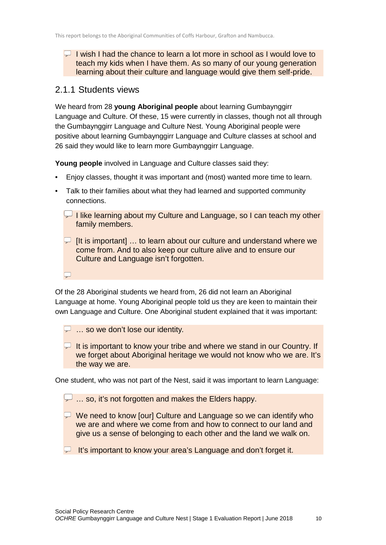$\Box$  I wish I had the chance to learn a lot more in school as I would love to teach my kids when I have them. As so many of our young generation learning about their culture and language would give them self-pride.

#### 2.1.1 Students views

 $\Box$ 

We heard from 28 **young Aboriginal people** about learning Gumbaynggirr Language and Culture. Of these, 15 were currently in classes, though not all through the Gumbaynggirr Language and Culture Nest. Young Aboriginal people were positive about learning Gumbaynggirr Language and Culture classes at school and 26 said they would like to learn more Gumbaynggirr Language.

**Young people** involved in Language and Culture classes said they:

- Enjoy classes, thought it was important and (most) wanted more time to learn.
- Talk to their families about what they had learned and supported community connections.
	- $\Box$  I like learning about my Culture and Language, so I can teach my other family members.
	- $\Box$  [It is important]  $\ldots$  to learn about our culture and understand where we come from. And to also keep our culture alive and to ensure our Culture and Language isn't forgotten.

Of the 28 Aboriginal students we heard from, 26 did not learn an Aboriginal Language at home. Young Aboriginal people told us they are keen to maintain their own Language and Culture. One Aboriginal student explained that it was important:

- $\mathbb{R}$  ... so we don't lose our identity.
- $\Box$  It is important to know your tribe and where we stand in our Country. If we forget about Aboriginal heritage we would not know who we are. It's the way we are.

One student, who was not part of the Nest, said it was important to learn Language:

- $\Box$  ... so, it's not forgotten and makes the Elders happy.
- $\heartsuit$  We need to know [our] Culture and Language so we can identify who we are and where we come from and how to connect to our land and give us a sense of belonging to each other and the land we walk on.
- $\Box$  It's important to know your area's Language and don't forget it.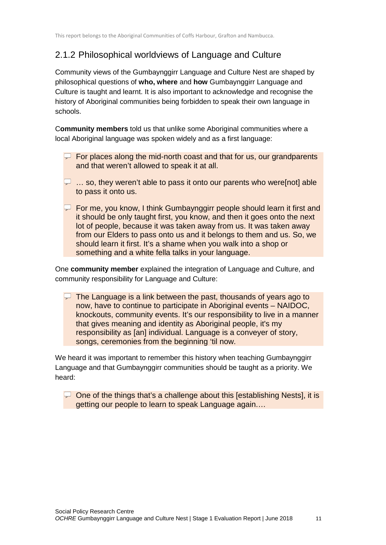#### 2.1.2 Philosophical worldviews of Language and Culture

Community views of the Gumbaynggirr Language and Culture Nest are shaped by philosophical questions of **who, where** and **how** Gumbaynggirr Language and Culture is taught and learnt. It is also important to acknowledge and recognise the history of Aboriginal communities being forbidden to speak their own language in schools.

C**ommunity members** told us that unlike some Aboriginal communities where a local Aboriginal language was spoken widely and as a first language:

- $\overline{\mathbb{P}}$ For places along the mid-north coast and that for us, our grandparents and that weren't allowed to speak it at all.
- $\Box$  ... so, they weren't able to pass it onto our parents who werefinot able to pass it onto us.
- $\Box$  For me, you know, I think Gumbaynggirr people should learn it first and it should be only taught first, you know, and then it goes onto the next lot of people, because it was taken away from us. It was taken away from our Elders to pass onto us and it belongs to them and us. So, we should learn it first. It's a shame when you walk into a shop or something and a white fella talks in your language.

One **community member** explained the integration of Language and Culture, and community responsibility for Language and Culture:

 $\Box$  The Language is a link between the past, thousands of years ago to now, have to continue to participate in Aboriginal events – NAIDOC, knockouts, community events. It's our responsibility to live in a manner that gives meaning and identity as Aboriginal people, it's my responsibility as [an] individual. Language is a conveyer of story, songs, ceremonies from the beginning 'til now.

We heard it was important to remember this history when teaching Gumbaynggirr Language and that Gumbaynggirr communities should be taught as a priority. We heard:

 $\Box$  One of the things that's a challenge about this [establishing Nests], it is getting our people to learn to speak Language again.…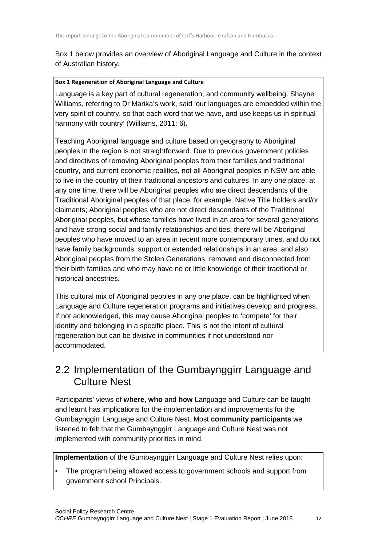Box 1 below provides an overview of Aboriginal Language and Culture in the context of Australian history.

#### **Box 1 Regeneration of Aboriginal Language and Culture**

Language is a key part of cultural regeneration, and community wellbeing. Shayne Williams, referring to Dr Marika's work, said 'our languages are embedded within the very spirit of country, so that each word that we have, and use keeps us in spiritual harmony with country' (Williams, 2011: 6).

Teaching Aboriginal language and culture based on geography to Aboriginal peoples in the region is not straightforward. Due to previous government policies and directives of removing Aboriginal peoples from their families and traditional country, and current economic realities, not all Aboriginal peoples in NSW are able to live in the country of their traditional ancestors and cultures. In any one place, at any one time, there will be Aboriginal peoples who are direct descendants of the Traditional Aboriginal peoples of that place, for example, Native Title holders and/or claimants; Aboriginal peoples who are not direct descendants of the Traditional Aboriginal peoples, but whose families have lived in an area for several generations and have strong social and family relationships and ties; there will be Aboriginal peoples who have moved to an area in recent more contemporary times, and do not have family backgrounds, support or extended relationships in an area; and also Aboriginal peoples from the Stolen Generations, removed and disconnected from their birth families and who may have no or little knowledge of their traditional or historical ancestries.

This cultural mix of Aboriginal peoples in any one place, can be highlighted when Language and Culture regeneration programs and initiatives develop and progress. If not acknowledged, this may cause Aboriginal peoples to 'compete' for their identity and belonging in a specific place. This is not the intent of cultural regeneration but can be divisive in communities if not understood nor accommodated.

### <span id="page-27-0"></span>2.2 Implementation of the Gumbaynggirr Language and Culture Nest

Participants' views of **where**, **who** and **how** Language and Culture can be taught and learnt has implications for the implementation and improvements for the Gumbaynggirr Language and Culture Nest. Most **community participants** we listened to felt that the Gumbaynggirr Language and Culture Nest was not implemented with community priorities in mind.

**Implementation** of the Gumbaynggirr Language and Culture Nest relies upon:

• The program being allowed access to government schools and support from government school Principals.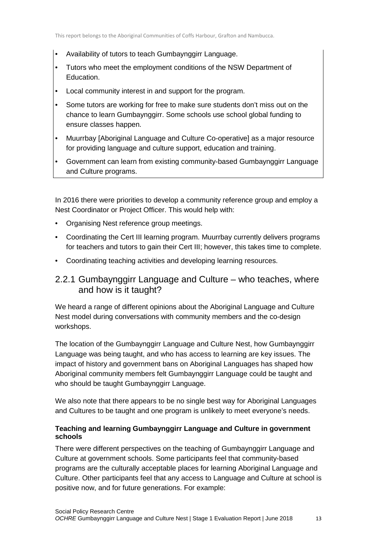- Availability of tutors to teach Gumbaynggirr Language.
- Tutors who meet the employment conditions of the NSW Department of Education.
- Local community interest in and support for the program.
- Some tutors are working for free to make sure students don't miss out on the chance to learn Gumbaynggirr. Some schools use school global funding to ensure classes happen.
- Muurrbay [Aboriginal Language and Culture Co-operative] as a major resource for providing language and culture support, education and training.
- Government can learn from existing community-based Gumbaynggirr Language and Culture programs.

In 2016 there were priorities to develop a community reference group and employ a Nest Coordinator or Project Officer. This would help with:

- Organising Nest reference group meetings.
- Coordinating the Cert III learning program. Muurrbay currently delivers programs for teachers and tutors to gain their Cert III; however, this takes time to complete.
- Coordinating teaching activities and developing learning resources.

#### 2.2.1 Gumbaynggirr Language and Culture – who teaches, where and how is it taught?

We heard a range of different opinions about the Aboriginal Language and Culture Nest model during conversations with community members and the co-design workshops.

The location of the Gumbaynggirr Language and Culture Nest, how Gumbaynggirr Language was being taught, and who has access to learning are key issues. The impact of history and government bans on Aboriginal Languages has shaped how Aboriginal community members felt Gumbaynggirr Language could be taught and who should be taught Gumbaynggirr Language.

We also note that there appears to be no single best way for Aboriginal Languages and Cultures to be taught and one program is unlikely to meet everyone's needs.

#### **Teaching and learning Gumbaynggirr Language and Culture in government schools**

There were different perspectives on the teaching of Gumbaynggirr Language and Culture at government schools. Some participants feel that community-based programs are the culturally acceptable places for learning Aboriginal Language and Culture. Other participants feel that any access to Language and Culture at school is positive now, and for future generations. For example: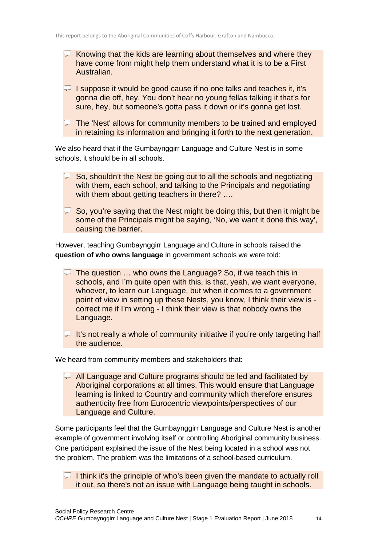- $\heartsuit$  Knowing that the kids are learning about themselves and where they have come from might help them understand what it is to be a First Australian.
- $\Box$  I suppose it would be good cause if no one talks and teaches it, it's gonna die off, hey. You don't hear no young fellas talking it that's for sure, hey, but someone's gotta pass it down or it's gonna get lost.
- $\Box$  The 'Nest' allows for community members to be trained and employed in retaining its information and bringing it forth to the next generation.

We also heard that if the Gumbaynggirr Language and Culture Nest is in some schools, it should be in all schools.

- $\Box$  So, shouldn't the Nest be going out to all the schools and negotiating with them, each school, and talking to the Principals and negotiating with them about getting teachers in there? ....
- $\overline{P}$  So, you're saying that the Nest might be doing this, but then it might be some of the Principals might be saying, 'No, we want it done this way', causing the barrier.

However, teaching Gumbaynggirr Language and Culture in schools raised the **question of who owns language** in government schools we were told:

- $\Box$  The question ... who owns the Language? So, if we teach this in schools, and I'm quite open with this, is that, yeah, we want everyone, whoever, to learn our Language, but when it comes to a government point of view in setting up these Nests, you know, I think their view is correct me if I'm wrong - I think their view is that nobody owns the Language.
- $\Box$  It's not really a whole of community initiative if you're only targeting half the audience.

We heard from community members and stakeholders that:

 $\Box$  All Language and Culture programs should be led and facilitated by Aboriginal corporations at all times. This would ensure that Language learning is linked to Country and community which therefore ensures authenticity free from Eurocentric viewpoints/perspectives of our Language and Culture.

Some participants feel that the Gumbaynggirr Language and Culture Nest is another example of government involving itself or controlling Aboriginal community business. One participant explained the issue of the Nest being located in a school was not the problem. The problem was the limitations of a school-based curriculum.

 $\Box$  I think it's the principle of who's been given the mandate to actually roll it out, so there's not an issue with Language being taught in schools.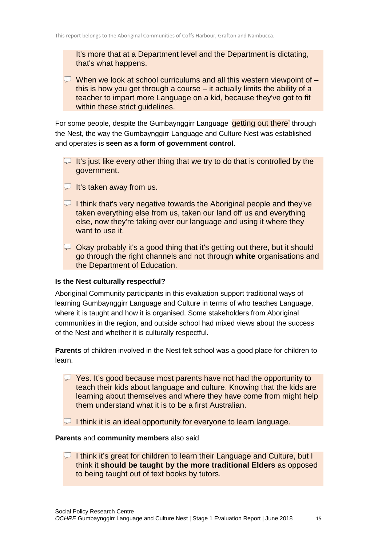It's more that at a Department level and the Department is dictating, that's what happens.

 $\Box$  When we look at school curriculums and all this western viewpoint of  $\Box$ this is how you get through a course – it actually limits the ability of a teacher to impart more Language on a kid, because they've got to fit within these strict quidelines.

For some people, despite the Gumbaynggirr Language 'getting out there' through the Nest, the way the Gumbaynggirr Language and Culture Nest was established and operates is **seen as a form of government control**.

- $\Box$  It's just like every other thing that we try to do that is controlled by the government.
- $\Box$  It's taken away from us.
- $\Box$  I think that's very negative towards the Aboriginal people and they've taken everything else from us, taken our land off us and everything else, now they're taking over our language and using it where they want to use it.
- $\Box$  Okay probably it's a good thing that it's getting out there, but it should go through the right channels and not through **white** organisations and the Department of Education.

#### **Is the Nest culturally respectful?**

Aboriginal Community participants in this evaluation support traditional ways of learning Gumbaynggirr Language and Culture in terms of who teaches Language, where it is taught and how it is organised. Some stakeholders from Aboriginal communities in the region, and outside school had mixed views about the success of the Nest and whether it is culturally respectful.

**Parents** of children involved in the Nest felt school was a good place for children to learn.

- $\Box$  Yes. It's good because most parents have not had the opportunity to teach their kids about language and culture. Knowing that the kids are learning about themselves and where they have come from might help them understand what it is to be a first Australian.
- $\Box$  I think it is an ideal opportunity for everyone to learn language.

#### **Parents** and **community members** also said

 $\Box$  I think it's great for children to learn their Language and Culture, but I think it **should be taught by the more traditional Elders** as opposed to being taught out of text books by tutors.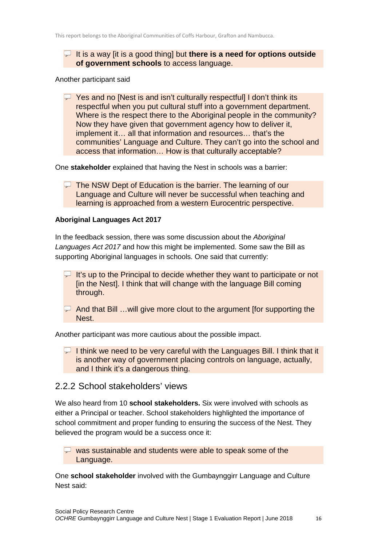This report belongs to the Aboriginal Communities of Coffs Harbour, Grafton and Nambucca.

#### It is a way [it is a good thing] but **there is a need for options outside of government schools** to access language.

Another participant said

 $\Box$  Yes and no INest is and isn't culturally respectfull I don't think its respectful when you put cultural stuff into a government department. Where is the respect there to the Aboriginal people in the community? Now they have given that government agency how to deliver it, implement it… all that information and resources… that's the communities' Language and Culture. They can't go into the school and access that information… How is that culturally acceptable?

One **stakeholder** explained that having the Nest in schools was a barrier:

 $\heartsuit$  The NSW Dept of Education is the barrier. The learning of our Language and Culture will never be successful when teaching and learning is approached from a western Eurocentric perspective.

#### **Aboriginal Languages Act 2017**

In the feedback session, there was some discussion about the *Aboriginal Languages Act 2017* and how this might be implemented. Some saw the Bill as supporting Aboriginal languages in schools. One said that currently:

- It's up to the Principal to decide whether they want to participate or not [in the Nest]. I think that will change with the language Bill coming through.
- $\Box$  And that Bill ... will give more clout to the argument [for supporting the **Nest.**

Another participant was more cautious about the possible impact.

 $\Box$  I think we need to be very careful with the Languages Bill. I think that it is another way of government placing controls on language, actually, and I think it's a dangerous thing.

#### 2.2.2 School stakeholders' views

We also heard from 10 **school stakeholders.** Six were involved with schools as either a Principal or teacher. School stakeholders highlighted the importance of school commitment and proper funding to ensuring the success of the Nest. They believed the program would be a success once it:

 $\heartsuit$  was sustainable and students were able to speak some of the Language.

One **school stakeholder** involved with the Gumbaynggirr Language and Culture Nest said: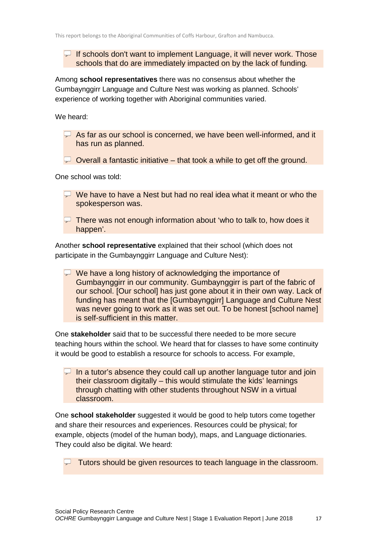This report belongs to the Aboriginal Communities of Coffs Harbour, Grafton and Nambucca.

 $\Box$  If schools don't want to implement Language, it will never work. Those schools that do are immediately impacted on by the lack of funding*.*

Among **school representatives** there was no consensus about whether the Gumbaynggirr Language and Culture Nest was working as planned. Schools' experience of working together with Aboriginal communities varied.

We heard:

- $\Box$  As far as our school is concerned, we have been well-informed, and it has run as planned.
- $\Box$  Overall a fantastic initiative that took a while to get off the ground.

One school was told:

- $\heartsuit$  We have to have a Nest but had no real idea what it meant or who the spokesperson was.
- $\Box$  There was not enough information about 'who to talk to, how does it happen'.

Another **school representative** explained that their school (which does not participate in the Gumbaynggirr Language and Culture Nest):

 $\Box$  We have a long history of acknowledging the importance of Gumbaynggirr in our community. Gumbaynggirr is part of the fabric of our school. [Our school] has just gone about it in their own way. Lack of funding has meant that the [Gumbaynggirr] Language and Culture Nest was never going to work as it was set out. To be honest [school name] is self-sufficient in this matter.

One **stakeholder** said that to be successful there needed to be more secure teaching hours within the school. We heard that for classes to have some continuity it would be good to establish a resource for schools to access. For example,

 $\mathbb{Z}$ In a tutor's absence they could call up another language tutor and join their classroom digitally – this would stimulate the kids' learnings through chatting with other students throughout NSW in a virtual classroom.

One **school stakeholder** suggested it would be good to help tutors come together and share their resources and experiences. Resources could be physical; for example, objects (model of the human body), maps, and Language dictionaries. They could also be digital. We heard:

Tutors should be given resources to teach language in the classroom.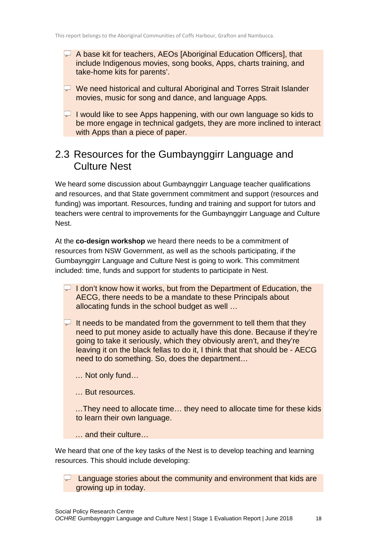- A base kit for teachers, AEOs [Aboriginal Education Officers], that include Indigenous movies, song books, Apps, charts training, and take-home kits for parents'.
- We need historical and cultural Aboriginal and Torres Strait Islander movies, music for song and dance, and language Apps*.*
- $\Box$  I would like to see Apps happening, with our own language so kids to be more engage in technical gadgets, they are more inclined to interact with Apps than a piece of paper.

### <span id="page-33-0"></span>2.3 Resources for the Gumbaynggirr Language and Culture Nest

We heard some discussion about Gumbaynggirr Language teacher qualifications and resources, and that State government commitment and support (resources and funding) was important. Resources, funding and training and support for tutors and teachers were central to improvements for the Gumbaynggirr Language and Culture Nest.

At the **co-design workshop** we heard there needs to be a commitment of resources from NSW Government, as well as the schools participating, if the Gumbaynggirr Language and Culture Nest is going to work. This commitment included: time, funds and support for students to participate in Nest.

- $\Box$  I don't know how it works, but from the Department of Education, the AECG, there needs to be a mandate to these Principals about allocating funds in the school budget as well …
- $\Box$  It needs to be mandated from the government to tell them that they need to put money aside to actually have this done. Because if they're going to take it seriously, which they obviously aren't, and they're leaving it on the black fellas to do it, I think that that should be - AECG need to do something. So, does the department…
	- … Not only fund…
	- … But resources.

 …They need to allocate time… they need to allocate time for these kids to learn their own language.

… and their culture…

We heard that one of the key tasks of the Nest is to develop teaching and learning resources. This should include developing:

Language stories about the community and environment that kids are growing up in today.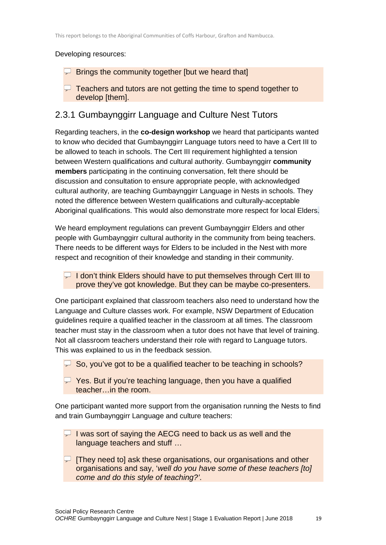Developing resources:

- $\Box$  Brings the community together [but we heard that]
- $\Box$  Teachers and tutors are not getting the time to spend together to develop [them].

#### 2.3.1 Gumbaynggirr Language and Culture Nest Tutors

Regarding teachers, in the **co-design workshop** we heard that participants wanted to know who decided that Gumbaynggirr Language tutors need to have a Cert III to be allowed to teach in schools. The Cert III requirement highlighted a tension between Western qualifications and cultural authority. Gumbaynggirr **community members** participating in the continuing conversation, felt there should be discussion and consultation to ensure appropriate people, with acknowledged cultural authority, are teaching Gumbaynggirr Language in Nests in schools. They noted the difference between Western qualifications and culturally-acceptable Aboriginal qualifications. This would also demonstrate more respect for local Elders.

We heard employment regulations can prevent Gumbaynggirr Elders and other people with Gumbaynggirr cultural authority in the community from being teachers. There needs to be different ways for Elders to be included in the Nest with more respect and recognition of their knowledge and standing in their community.

#### $\mathbb{Z}$ I don't think Elders should have to put themselves through Cert III to prove they've got knowledge. But they can be maybe co-presenters.

One participant explained that classroom teachers also need to understand how the Language and Culture classes work. For example, NSW Department of Education guidelines require a qualified teacher in the classroom at all times. The classroom teacher must stay in the classroom when a tutor does not have that level of training. Not all classroom teachers understand their role with regard to Language tutors. This was explained to us in the feedback session.

- $\Box$  So, you've got to be a qualified teacher to be teaching in schools?
- $\heartsuit$  Yes. But if you're teaching language, then you have a qualified teacher…in the room.

One participant wanted more support from the organisation running the Nests to find and train Gumbaynggirr Language and culture teachers:

- I was sort of saying the AECG need to back us as well and the  $\Box$ language teachers and stuff …
- $\Box$  [They need to] ask these organisations, our organisations and other organisations and say, '*well do you have some of these teachers [to] come and do this style of teaching?'*.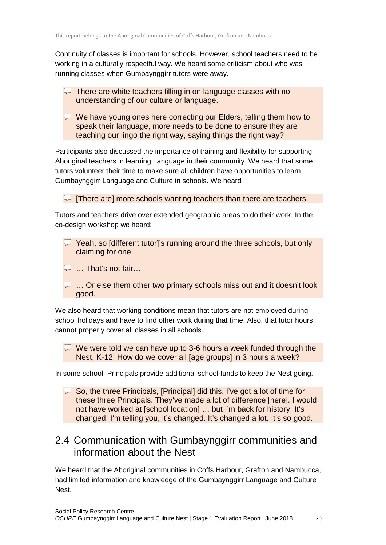Continuity of classes is important for schools. However, school teachers need to be working in a culturally respectful way. We heard some criticism about who was running classes when Gumbaynggirr tutors were away.

- $\Box$  There are white teachers filling in on language classes with no understanding of our culture or language.
- $\Box$  We have young ones here correcting our Elders, telling them how to speak their language, more needs to be done to ensure they are teaching our lingo the right way, saying things the right way?

Participants also discussed the importance of training and flexibility for supporting Aboriginal teachers in learning Language in their community. We heard that some tutors volunteer their time to make sure all children have opportunities to learn Gumbaynggirr Language and Culture in schools. We heard

 $\Box$  [There are] more schools wanting teachers than there are teachers.

Tutors and teachers drive over extended geographic areas to do their work. In the co-design workshop we heard:

- $\Box$  Yeah, so [different tutor]'s running around the three schools, but only claiming for one.
- … That's not fair…
- $\Box$  ... Or else them other two primary schools miss out and it doesn't look good.

We also heard that working conditions mean that tutors are not employed during school holidays and have to find other work during that time. Also, that tutor hours cannot properly cover all classes in all schools.

 $\Box$  We were told we can have up to 3-6 hours a week funded through the Nest, K-12. How do we cover all [age groups] in 3 hours a week?

In some school, Principals provide additional school funds to keep the Nest going.

 $\mathbb{Z}$ So, the three Principals, [Principal] did this, I've got a lot of time for these three Principals. They've made a lot of difference [here]. I would not have worked at [school location] … but I'm back for history. It's changed. I'm telling you, it's changed. It's changed a lot. It's so good.

### <span id="page-35-0"></span>2.4 Communication with Gumbaynggirr communities and information about the Nest

We heard that the Aboriginal communities in Coffs Harbour, Grafton and Nambucca, had limited information and knowledge of the Gumbaynggirr Language and Culture Nest.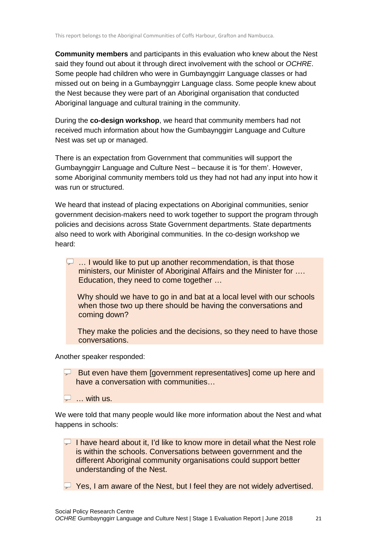**Community members** and participants in this evaluation who knew about the Nest said they found out about it through direct involvement with the school or *OCHRE*. Some people had children who were in Gumbaynggirr Language classes or had missed out on being in a Gumbaynggirr Language class. Some people knew about the Nest because they were part of an Aboriginal organisation that conducted Aboriginal language and cultural training in the community.

During the **co-design workshop**, we heard that community members had not received much information about how the Gumbaynggirr Language and Culture Nest was set up or managed.

There is an expectation from Government that communities will support the Gumbaynggirr Language and Culture Nest – because it is 'for them'. However, some Aboriginal community members told us they had not had any input into how it was run or structured.

We heard that instead of placing expectations on Aboriginal communities, senior government decision-makers need to work together to support the program through policies and decisions across State Government departments. State departments also need to work with Aboriginal communities. In the co-design workshop we heard:

 $\Box$  ... I would like to put up another recommendation, is that those ministers, our Minister of Aboriginal Affairs and the Minister for …. Education, they need to come together …

 Why should we have to go in and bat at a local level with our schools when those two up there should be having the conversations and coming down?

 They make the policies and the decisions, so they need to have those conversations.

Another speaker responded:

 $\Box$  But even have them [government representatives] come up here and have a conversation with communities…

 $\mathbb{Z}$  ... with us.

We were told that many people would like more information about the Nest and what happens in schools:

- $\mathbb{Z}$ I have heard about it, I'd like to know more in detail what the Nest role is within the schools. Conversations between government and the different Aboriginal community organisations could support better understanding of the Nest.
- $\heartsuit$  Yes, I am aware of the Nest, but I feel they are not widely advertised.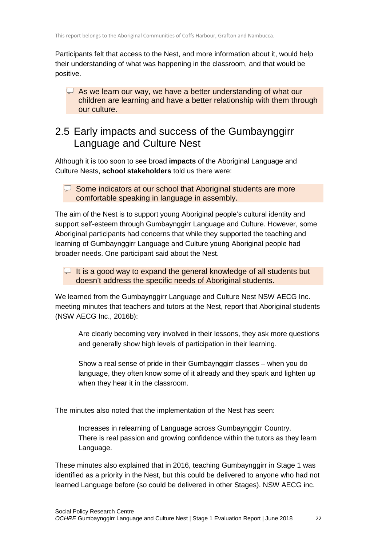Participants felt that access to the Nest, and more information about it, would help their understanding of what was happening in the classroom, and that would be positive.

 $\Box$  As we learn our way, we have a better understanding of what our children are learning and have a better relationship with them through our culture.

### <span id="page-37-0"></span>2.5 Early impacts and success of the Gumbaynggirr Language and Culture Nest

Although it is too soon to see broad **impacts** of the Aboriginal Language and Culture Nests, **school stakeholders** told us there were:

Some indicators at our school that Aboriginal students are more comfortable speaking in language in assembly.

The aim of the Nest is to support young Aboriginal people's cultural identity and support self-esteem through Gumbaynggirr Language and Culture. However, some Aboriginal participants had concerns that while they supported the teaching and learning of Gumbaynggirr Language and Culture young Aboriginal people had broader needs. One participant said about the Nest.

It is a good way to expand the general knowledge of all students but doesn't address the specific needs of Aboriginal students.

We learned from the Gumbaynggirr Language and Culture Nest NSW AECG Inc. meeting minutes that teachers and tutors at the Nest, report that Aboriginal students (NSW AECG Inc., 2016b):

Are clearly becoming very involved in their lessons, they ask more questions and generally show high levels of participation in their learning.

Show a real sense of pride in their Gumbaynggirr classes – when you do language, they often know some of it already and they spark and lighten up when they hear it in the classroom.

The minutes also noted that the implementation of the Nest has seen:

Increases in relearning of Language across Gumbaynggirr Country. There is real passion and growing confidence within the tutors as they learn Language.

These minutes also explained that in 2016, teaching Gumbaynggirr in Stage 1 was identified as a priority in the Nest, but this could be delivered to anyone who had not learned Language before (so could be delivered in other Stages). NSW AECG inc.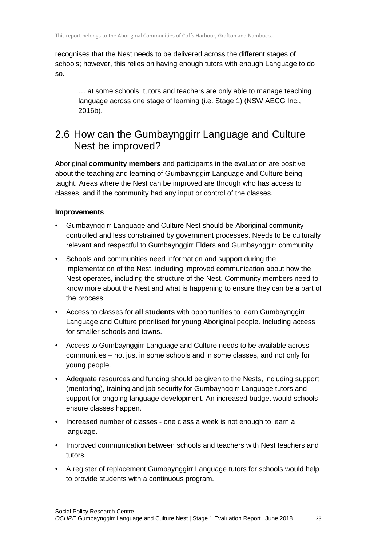recognises that the Nest needs to be delivered across the different stages of schools; however, this relies on having enough tutors with enough Language to do so.

… at some schools, tutors and teachers are only able to manage teaching language across one stage of learning (i.e. Stage 1) (NSW AECG Inc., 2016b).

### <span id="page-38-0"></span>2.6 How can the Gumbaynggirr Language and Culture Nest be improved?

Aboriginal **community members** and participants in the evaluation are positive about the teaching and learning of Gumbaynggirr Language and Culture being taught. Areas where the Nest can be improved are through who has access to classes, and if the community had any input or control of the classes.

#### **Improvements**

- Gumbaynggirr Language and Culture Nest should be Aboriginal communitycontrolled and less constrained by government processes. Needs to be culturally relevant and respectful to Gumbaynggirr Elders and Gumbaynggirr community.
- Schools and communities need information and support during the implementation of the Nest, including improved communication about how the Nest operates, including the structure of the Nest. Community members need to know more about the Nest and what is happening to ensure they can be a part of the process.
- Access to classes for **all students** with opportunities to learn Gumbaynggirr Language and Culture prioritised for young Aboriginal people. Including access for smaller schools and towns.
- Access to Gumbaynggirr Language and Culture needs to be available across communities – not just in some schools and in some classes, and not only for young people.
- Adequate resources and funding should be given to the Nests, including support (mentoring), training and job security for Gumbaynggirr Language tutors and support for ongoing language development. An increased budget would schools ensure classes happen.
- Increased number of classes one class a week is not enough to learn a language.
- Improved communication between schools and teachers with Nest teachers and tutors.
- A register of replacement Gumbaynggirr Language tutors for schools would help to provide students with a continuous program.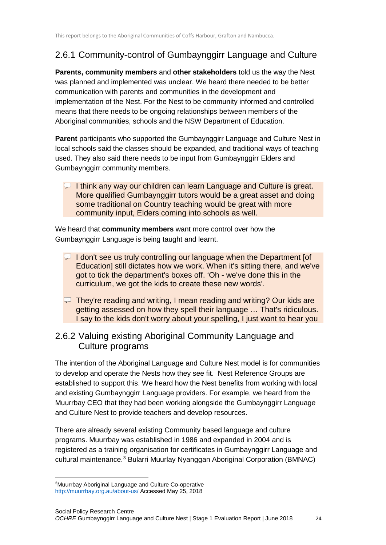### 2.6.1 Community-control of Gumbaynggirr Language and Culture

**Parents, community members** and **other stakeholders** told us the way the Nest was planned and implemented was unclear. We heard there needed to be better communication with parents and communities in the development and implementation of the Nest. For the Nest to be community informed and controlled means that there needs to be ongoing relationships between members of the Aboriginal communities, schools and the NSW Department of Education.

**Parent** participants who supported the Gumbaynggirr Language and Culture Nest in local schools said the classes should be expanded, and traditional ways of teaching used. They also said there needs to be input from Gumbaynggirr Elders and Gumbaynggirr community members.

 $\Box$  I think any way our children can learn Language and Culture is great. More qualified Gumbaynggirr tutors would be a great asset and doing some traditional on Country teaching would be great with more community input, Elders coming into schools as well.

We heard that **community members** want more control over how the Gumbaynggirr Language is being taught and learnt.

- $\Box$  I don't see us truly controlling our language when the Department [of Education] still dictates how we work. When it's sitting there, and we've got to tick the department's boxes off. 'Oh - we've done this in the curriculum, we got the kids to create these new words'.
- $\Box$  They're reading and writing, I mean reading and writing? Our kids are getting assessed on how they spell their language … That's ridiculous. I say to the kids don't worry about your spelling, I just want to hear you

#### 2.6.2 Valuing existing Aboriginal Community Language and Culture programs

The intention of the Aboriginal Language and Culture Nest model is for communities to develop and operate the Nests how they see fit. Nest Reference Groups are established to support this. We heard how the Nest benefits from working with local and existing Gumbaynggirr Language providers. For example, we heard from the Muurrbay CEO that they had been working alongside the Gumbaynggirr Language and Culture Nest to provide teachers and develop resources.

There are already several existing Community based language and culture programs. Muurrbay was established in 1986 and expanded in 2004 and is registered as a training organisation for certificates in Gumbaynggirr Language and cultural maintenance.[3](#page-39-0) Bularri Muurlay Nyanggan Aboriginal Corporation (BMNAC)

<u>.</u>

<span id="page-39-0"></span><sup>3</sup>Muurrbay Aboriginal Language and Culture Co-operative <http://muurrbay.org.au/about-us/> Accessed May 25, 2018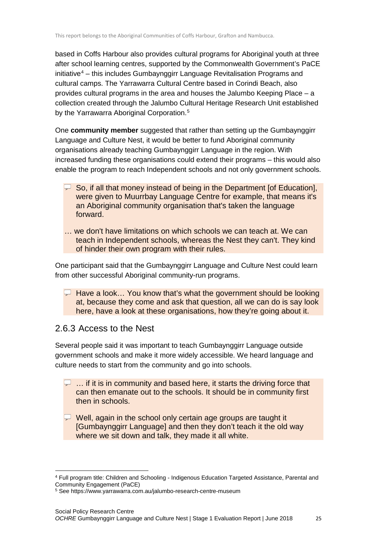based in Coffs Harbour also provides cultural programs for Aboriginal youth at three after school learning centres, supported by the Commonwealth Government's PaCE initiative[4](#page-40-0) – this includes Gumbaynggirr Language Revitalisation Programs and cultural camps. The Yarrawarra Cultural Centre based in Corindi Beach, also provides cultural programs in the area and houses the Jalumbo Keeping Place – a collection created through the Jalumbo Cultural Heritage Research Unit established by the Yarrawarra Aboriginal Corporation.<sup>[5](#page-40-1)</sup>

One **community member** suggested that rather than setting up the Gumbaynggirr Language and Culture Nest, it would be better to fund Aboriginal community organisations already teaching Gumbaynggirr Language in the region. With increased funding these organisations could extend their programs – this would also enable the program to reach Independent schools and not only government schools.

- So, if all that money instead of being in the Department [of Education], were given to Muurrbay Language Centre for example, that means it's an Aboriginal community organisation that's taken the language forward.
- … we don't have limitations on which schools we can teach at. We can teach in Independent schools, whereas the Nest they can't. They kind of hinder their own program with their rules.

One participant said that the Gumbaynggirr Language and Culture Nest could learn from other successful Aboriginal community-run programs.

 $\Box$  Have a look... You know that's what the government should be looking at, because they come and ask that question, all we can do is say look here, have a look at these organisations, how they're going about it.

#### 2.6.3 Access to the Nest

Several people said it was important to teach Gumbaynggirr Language outside government schools and make it more widely accessible. We heard language and culture needs to start from the community and go into schools.

- $\Box$  ... if it is in community and based here, it starts the driving force that can then emanate out to the schools. It should be in community first then in schools.
- $\heartsuit$  Well, again in the school only certain age groups are taught it [Gumbaynggirr Language] and then they don't teach it the old way where we sit down and talk, they made it all white.

<span id="page-40-0"></span>**<sup>.</sup>** <sup>4</sup> Full program title: Children and Schooling - Indigenous Education Targeted Assistance, Parental and Community Engagement (PaCE)

<span id="page-40-1"></span><sup>5</sup> See https://www.yarrawarra.com.au/jalumbo-research-centre-museum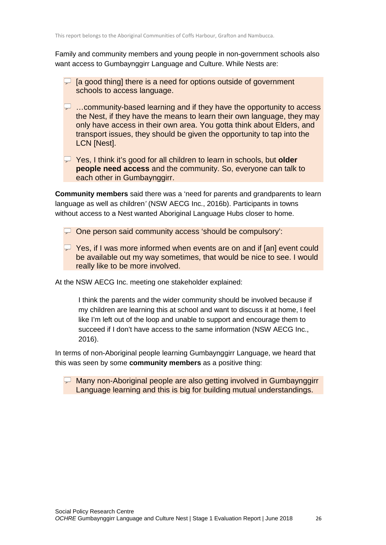Family and community members and young people in non-government schools also want access to Gumbaynggirr Language and Culture. While Nests are:

- $\Box$  [a good thing] there is a need for options outside of government schools to access language.
- $\Box$  ... community-based learning and if they have the opportunity to access the Nest, if they have the means to learn their own language, they may only have access in their own area. You gotta think about Elders, and transport issues, they should be given the opportunity to tap into the LCN [Nest].
- Yes, I think it's good for all children to learn in schools, but **older people need access** and the community. So, everyone can talk to each other in Gumbaynggirr.

**Community members** said there was a 'need for parents and grandparents to learn language as well as children*'* (NSW AECG Inc., 2016b). Participants in towns without access to a Nest wanted Aboriginal Language Hubs closer to home.

 $\Box$  One person said community access 'should be compulsory':

 $\Box$  Yes, if I was more informed when events are on and if [an] event could be available out my way sometimes, that would be nice to see. I would really like to be more involved.

At the NSW AECG Inc. meeting one stakeholder explained:

I think the parents and the wider community should be involved because if my children are learning this at school and want to discuss it at home, I feel like I'm left out of the loop and unable to support and encourage them to succeed if I don't have access to the same information (NSW AECG Inc., 2016).

In terms of non-Aboriginal people learning Gumbaynggirr Language, we heard that this was seen by some **community members** as a positive thing:

 $\Box$  Many non-Aboriginal people are also getting involved in Gumbaynggirr Language learning and this is big for building mutual understandings.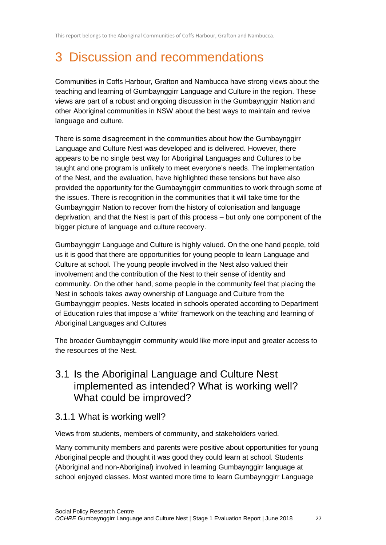# <span id="page-42-0"></span>3 Discussion and recommendations

Communities in Coffs Harbour, Grafton and Nambucca have strong views about the teaching and learning of Gumbaynggirr Language and Culture in the region. These views are part of a robust and ongoing discussion in the Gumbaynggirr Nation and other Aboriginal communities in NSW about the best ways to maintain and revive language and culture.

There is some disagreement in the communities about how the Gumbaynggirr Language and Culture Nest was developed and is delivered. However, there appears to be no single best way for Aboriginal Languages and Cultures to be taught and one program is unlikely to meet everyone's needs. The implementation of the Nest, and the evaluation, have highlighted these tensions but have also provided the opportunity for the Gumbaynggirr communities to work through some of the issues. There is recognition in the communities that it will take time for the Gumbaynggirr Nation to recover from the history of colonisation and language deprivation, and that the Nest is part of this process – but only one component of the bigger picture of language and culture recovery.

Gumbaynggirr Language and Culture is highly valued. On the one hand people, told us it is good that there are opportunities for young people to learn Language and Culture at school. The young people involved in the Nest also valued their involvement and the contribution of the Nest to their sense of identity and community. On the other hand, some people in the community feel that placing the Nest in schools takes away ownership of Language and Culture from the Gumbaynggirr peoples. Nests located in schools operated according to Department of Education rules that impose a 'white' framework on the teaching and learning of Aboriginal Languages and Cultures

The broader Gumbaynggirr community would like more input and greater access to the resources of the Nest.

<span id="page-42-1"></span>3.1 Is the Aboriginal Language and Culture Nest implemented as intended? What is working well? What could be improved?

#### 3.1.1 What is working well?

Views from students, members of community, and stakeholders varied.

Many community members and parents were positive about opportunities for young Aboriginal people and thought it was good they could learn at school. Students (Aboriginal and non-Aboriginal) involved in learning Gumbaynggirr language at school enjoyed classes. Most wanted more time to learn Gumbaynggirr Language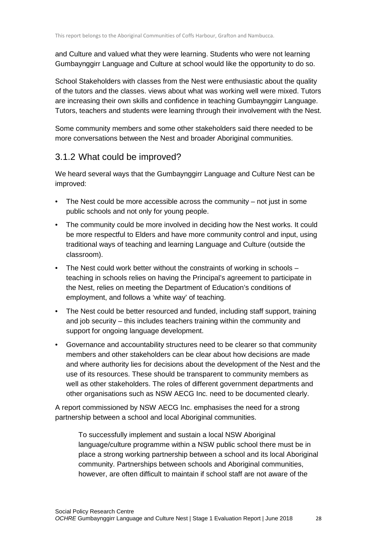and Culture and valued what they were learning. Students who were not learning Gumbaynggirr Language and Culture at school would like the opportunity to do so.

School Stakeholders with classes from the Nest were enthusiastic about the quality of the tutors and the classes. views about what was working well were mixed. Tutors are increasing their own skills and confidence in teaching Gumbaynggirr Language. Tutors, teachers and students were learning through their involvement with the Nest.

Some community members and some other stakeholders said there needed to be more conversations between the Nest and broader Aboriginal communities.

#### 3.1.2 What could be improved?

We heard several ways that the Gumbaynggirr Language and Culture Nest can be improved:

- The Nest could be more accessible across the community not just in some public schools and not only for young people.
- The community could be more involved in deciding how the Nest works. It could be more respectful to Elders and have more community control and input, using traditional ways of teaching and learning Language and Culture (outside the classroom).
- The Nest could work better without the constraints of working in schools teaching in schools relies on having the Principal's agreement to participate in the Nest, relies on meeting the Department of Education's conditions of employment, and follows a 'white way' of teaching.
- The Nest could be better resourced and funded, including staff support, training and job security – this includes teachers training within the community and support for ongoing language development.
- Governance and accountability structures need to be clearer so that community members and other stakeholders can be clear about how decisions are made and where authority lies for decisions about the development of the Nest and the use of its resources. These should be transparent to community members as well as other stakeholders. The roles of different government departments and other organisations such as NSW AECG Inc. need to be documented clearly.

A report commissioned by NSW AECG Inc. emphasises the need for a strong partnership between a school and local Aboriginal communities.

To successfully implement and sustain a local NSW Aboriginal language/culture programme within a NSW public school there must be in place a strong working partnership between a school and its local Aboriginal community. Partnerships between schools and Aboriginal communities, however, are often difficult to maintain if school staff are not aware of the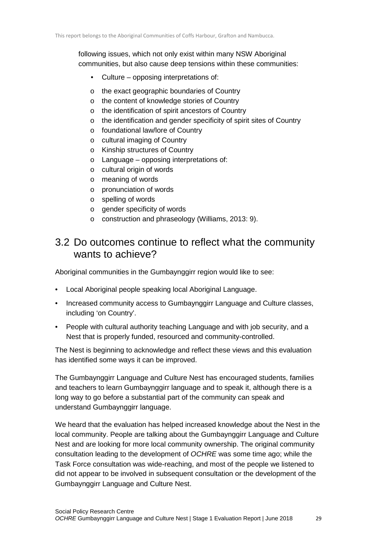following issues, which not only exist within many NSW Aboriginal communities, but also cause deep tensions within these communities:

- Culture opposing interpretations of:
- o the exact geographic boundaries of Country
- o the content of knowledge stories of Country
- o the identification of spirit ancestors of Country
- o the identification and gender specificity of spirit sites of Country
- o foundational law/lore of Country
- o cultural imaging of Country
- o Kinship structures of Country
- o Language opposing interpretations of:
- o cultural origin of words
- o meaning of words
- o pronunciation of words
- o spelling of words
- o gender specificity of words
- o construction and phraseology (Williams, 2013: 9).

### <span id="page-44-0"></span>3.2 Do outcomes continue to reflect what the community wants to achieve?

Aboriginal communities in the Gumbaynggirr region would like to see:

- Local Aboriginal people speaking local Aboriginal Language.
- Increased community access to Gumbaynggirr Language and Culture classes, including 'on Country'.
- People with cultural authority teaching Language and with job security, and a Nest that is properly funded, resourced and community-controlled.

The Nest is beginning to acknowledge and reflect these views and this evaluation has identified some ways it can be improved.

The Gumbaynggirr Language and Culture Nest has encouraged students, families and teachers to learn Gumbaynggirr language and to speak it, although there is a long way to go before a substantial part of the community can speak and understand Gumbaynggirr language.

We heard that the evaluation has helped increased knowledge about the Nest in the local community. People are talking about the Gumbaynggirr Language and Culture Nest and are looking for more local community ownership. The original community consultation leading to the development of *OCHRE* was some time ago; while the Task Force consultation was wide-reaching, and most of the people we listened to did not appear to be involved in subsequent consultation or the development of the Gumbaynggirr Language and Culture Nest.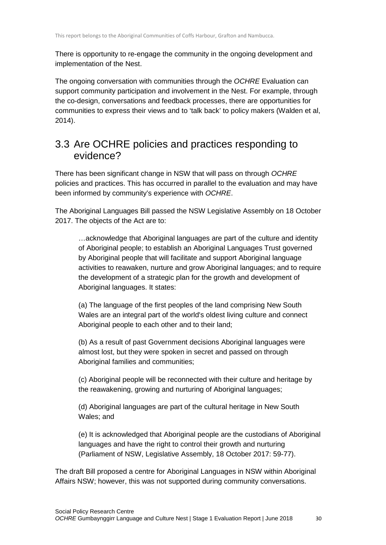There is opportunity to re-engage the community in the ongoing development and implementation of the Nest.

The ongoing conversation with communities through the *OCHRE* Evaluation can support community participation and involvement in the Nest. For example, through the co-design, conversations and feedback processes, there are opportunities for communities to express their views and to 'talk back' to policy makers (Walden et al, 2014).

### <span id="page-45-0"></span>3.3 Are OCHRE policies and practices responding to evidence?

There has been significant change in NSW that will pass on through *OCHRE*  policies and practices. This has occurred in parallel to the evaluation and may have been informed by community's experience with *OCHRE*.

The Aboriginal Languages Bill passed the NSW Legislative Assembly on 18 October 2017. The objects of the Act are to:

…acknowledge that Aboriginal languages are part of the culture and identity of Aboriginal people; to establish an Aboriginal Languages Trust governed by Aboriginal people that will facilitate and support Aboriginal language activities to reawaken, nurture and grow Aboriginal languages; and to require the development of a strategic plan for the growth and development of Aboriginal languages. It states:

(a) The language of the first peoples of the land comprising New South Wales are an integral part of the world's oldest living culture and connect Aboriginal people to each other and to their land;

(b) As a result of past Government decisions Aboriginal languages were almost lost, but they were spoken in secret and passed on through Aboriginal families and communities;

(c) Aboriginal people will be reconnected with their culture and heritage by the reawakening, growing and nurturing of Aboriginal languages;

(d) Aboriginal languages are part of the cultural heritage in New South Wales; and

(e) It is acknowledged that Aboriginal people are the custodians of Aboriginal languages and have the right to control their growth and nurturing (Parliament of NSW, Legislative Assembly, 18 October 2017: 59-77).

The draft Bill proposed a centre for Aboriginal Languages in NSW within Aboriginal Affairs NSW; however, this was not supported during community conversations.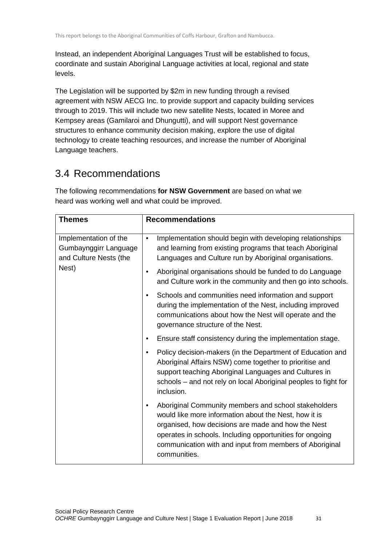Instead, an independent Aboriginal Languages Trust will be established to focus, coordinate and sustain Aboriginal Language activities at local, regional and state levels.

The Legislation will be supported by \$2m in new funding through a revised agreement with NSW AECG Inc. to provide support and capacity building services through to 2019. This will include two new satellite Nests, located in Moree and Kempsey areas (Gamilaroi and Dhungutti), and will support Nest governance structures to enhance community decision making, explore the use of digital technology to create teaching resources, and increase the number of Aboriginal Language teachers.

## <span id="page-46-0"></span>3.4 Recommendations

| <b>Themes</b>                                                                     | <b>Recommendations</b>                                                                                                                                                                                                                                                                                     |
|-----------------------------------------------------------------------------------|------------------------------------------------------------------------------------------------------------------------------------------------------------------------------------------------------------------------------------------------------------------------------------------------------------|
| Implementation of the<br>Gumbaynggirr Language<br>and Culture Nests (the<br>Nest) | Implementation should begin with developing relationships<br>$\bullet$<br>and learning from existing programs that teach Aboriginal<br>Languages and Culture run by Aboriginal organisations.<br>٠                                                                                                         |
|                                                                                   | Aboriginal organisations should be funded to do Language<br>and Culture work in the community and then go into schools.                                                                                                                                                                                    |
|                                                                                   | Schools and communities need information and support<br>٠<br>during the implementation of the Nest, including improved<br>communications about how the Nest will operate and the<br>governance structure of the Nest.                                                                                      |
|                                                                                   | Ensure staff consistency during the implementation stage.<br>٠                                                                                                                                                                                                                                             |
|                                                                                   | Policy decision-makers (in the Department of Education and<br>٠<br>Aboriginal Affairs NSW) come together to prioritise and<br>support teaching Aboriginal Languages and Cultures in<br>schools – and not rely on local Aboriginal peoples to fight for<br>inclusion.                                       |
|                                                                                   | Aboriginal Community members and school stakeholders<br>would like more information about the Nest, how it is<br>organised, how decisions are made and how the Nest<br>operates in schools. Including opportunities for ongoing<br>communication with and input from members of Aboriginal<br>communities. |

The following recommendations **for NSW Government** are based on what we heard was working well and what could be improved.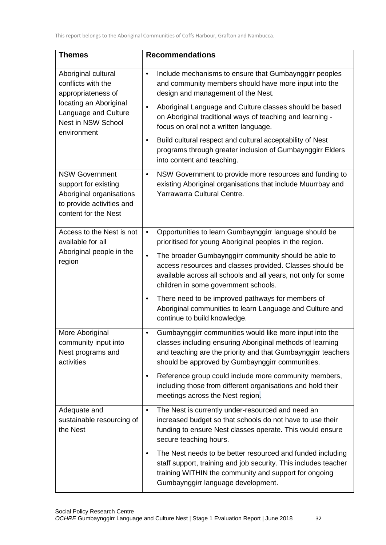| <b>Themes</b>                                                                                                                  | <b>Recommendations</b>                                                                                                                                                                                                                               |
|--------------------------------------------------------------------------------------------------------------------------------|------------------------------------------------------------------------------------------------------------------------------------------------------------------------------------------------------------------------------------------------------|
| Aboriginal cultural<br>conflicts with the<br>appropriateness of<br>locating an Aboriginal                                      | Include mechanisms to ensure that Gumbaynggirr peoples<br>$\bullet$<br>and community members should have more input into the<br>design and management of the Nest.                                                                                   |
| Language and Culture<br>Nest in NSW School<br>environment                                                                      | Aboriginal Language and Culture classes should be based<br>$\bullet$<br>on Aboriginal traditional ways of teaching and learning -<br>focus on oral not a written language.                                                                           |
|                                                                                                                                | Build cultural respect and cultural acceptability of Nest<br>٠<br>programs through greater inclusion of Gumbaynggirr Elders<br>into content and teaching.                                                                                            |
| <b>NSW Government</b><br>support for existing<br>Aboriginal organisations<br>to provide activities and<br>content for the Nest | NSW Government to provide more resources and funding to<br>$\bullet$<br>existing Aboriginal organisations that include Muurrbay and<br>Yarrawarra Cultural Centre.                                                                                   |
| Access to the Nest is not<br>available for all<br>Aboriginal people in the<br>region                                           | Opportunities to learn Gumbaynggirr language should be<br>$\bullet$<br>prioritised for young Aboriginal peoples in the region.                                                                                                                       |
|                                                                                                                                | The broader Gumbaynggirr community should be able to<br>$\bullet$<br>access resources and classes provided. Classes should be<br>available across all schools and all years, not only for some<br>children in some government schools.               |
|                                                                                                                                | There need to be improved pathways for members of<br>$\bullet$<br>Aboriginal communities to learn Language and Culture and<br>continue to build knowledge.                                                                                           |
| More Aboriginal<br>community input into<br>Nest programs and<br>activities                                                     | Gumbaynggirr communities would like more input into the<br>$\bullet$<br>classes including ensuring Aboriginal methods of learning<br>and teaching are the priority and that Gumbaynggirr teachers<br>should be approved by Gumbaynggirr communities. |
|                                                                                                                                | Reference group could include more community members,<br>٠<br>including those from different organisations and hold their<br>meetings across the Nest region.                                                                                        |
| Adequate and<br>sustainable resourcing of<br>the Nest                                                                          | The Nest is currently under-resourced and need an<br>$\bullet$<br>increased budget so that schools do not have to use their<br>funding to ensure Nest classes operate. This would ensure<br>secure teaching hours.                                   |
|                                                                                                                                | The Nest needs to be better resourced and funded including<br>$\bullet$<br>staff support, training and job security. This includes teacher<br>training WITHIN the community and support for ongoing<br>Gumbaynggirr language development.            |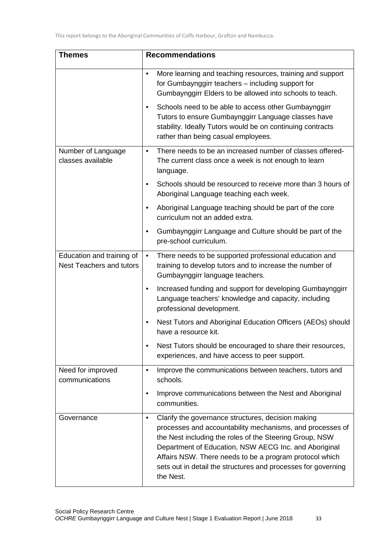| <b>Themes</b>                                                | <b>Recommendations</b>                                                                                                                                                                                                                                                                                                                                                                    |
|--------------------------------------------------------------|-------------------------------------------------------------------------------------------------------------------------------------------------------------------------------------------------------------------------------------------------------------------------------------------------------------------------------------------------------------------------------------------|
|                                                              | More learning and teaching resources, training and support<br>$\bullet$<br>for Gumbaynggirr teachers - including support for<br>Gumbaynggirr Elders to be allowed into schools to teach.                                                                                                                                                                                                  |
|                                                              | Schools need to be able to access other Gumbaynggirr<br>$\bullet$<br>Tutors to ensure Gumbaynggirr Language classes have<br>stability. Ideally Tutors would be on continuing contracts<br>rather than being casual employees.                                                                                                                                                             |
| Number of Language<br>classes available                      | There needs to be an increased number of classes offered-<br>$\bullet$<br>The current class once a week is not enough to learn<br>language.                                                                                                                                                                                                                                               |
|                                                              | Schools should be resourced to receive more than 3 hours of<br>$\bullet$<br>Aboriginal Language teaching each week.                                                                                                                                                                                                                                                                       |
|                                                              | Aboriginal Language teaching should be part of the core<br>٠<br>curriculum not an added extra.                                                                                                                                                                                                                                                                                            |
|                                                              | Gumbaynggirr Language and Culture should be part of the<br>٠<br>pre-school curriculum.                                                                                                                                                                                                                                                                                                    |
| Education and training of<br><b>Nest Teachers and tutors</b> | There needs to be supported professional education and<br>$\bullet$<br>training to develop tutors and to increase the number of<br>Gumbaynggirr language teachers.                                                                                                                                                                                                                        |
|                                                              | Increased funding and support for developing Gumbaynggirr<br>$\bullet$<br>Language teachers' knowledge and capacity, including<br>professional development.                                                                                                                                                                                                                               |
|                                                              | Nest Tutors and Aboriginal Education Officers (AEOs) should<br>have a resource kit.                                                                                                                                                                                                                                                                                                       |
|                                                              | Nest Tutors should be encouraged to share their resources,<br>٠<br>experiences, and have access to peer support.                                                                                                                                                                                                                                                                          |
| Need for improved<br>communications                          | Improve the communications between teachers, tutors and<br>$\bullet$<br>schools.                                                                                                                                                                                                                                                                                                          |
|                                                              | Improve communications between the Nest and Aboriginal<br>$\bullet$<br>communities.                                                                                                                                                                                                                                                                                                       |
| Governance                                                   | Clarify the governance structures, decision making<br>$\bullet$<br>processes and accountability mechanisms, and processes of<br>the Nest including the roles of the Steering Group, NSW<br>Department of Education, NSW AECG Inc. and Aboriginal<br>Affairs NSW. There needs to be a program protocol which<br>sets out in detail the structures and processes for governing<br>the Nest. |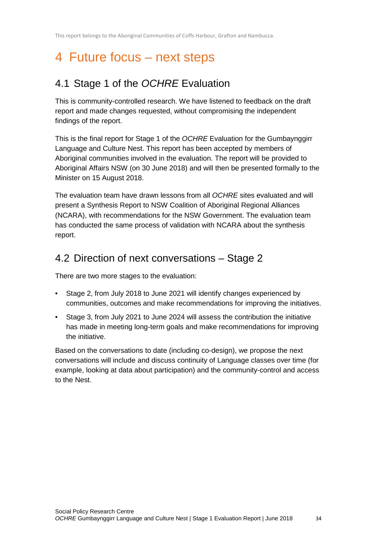# <span id="page-49-0"></span>4 Future focus – next steps

# <span id="page-49-1"></span>4.1 Stage 1 of the *OCHRE* Evaluation

This is community-controlled research. We have listened to feedback on the draft report and made changes requested, without compromising the independent findings of the report.

This is the final report for Stage 1 of the *OCHRE* Evaluation for the Gumbaynggirr Language and Culture Nest. This report has been accepted by members of Aboriginal communities involved in the evaluation. The report will be provided to Aboriginal Affairs NSW (on 30 June 2018) and will then be presented formally to the Minister on 15 August 2018.

The evaluation team have drawn lessons from all *OCHRE* sites evaluated and will present a Synthesis Report to NSW Coalition of Aboriginal Regional Alliances (NCARA), with recommendations for the NSW Government. The evaluation team has conducted the same process of validation with NCARA about the synthesis report.

# <span id="page-49-2"></span>4.2 Direction of next conversations – Stage 2

There are two more stages to the evaluation:

- Stage 2, from July 2018 to June 2021 will identify changes experienced by communities, outcomes and make recommendations for improving the initiatives.
- Stage 3, from July 2021 to June 2024 will assess the contribution the initiative has made in meeting long-term goals and make recommendations for improving the initiative.

Based on the conversations to date (including co-design), we propose the next conversations will include and discuss continuity of Language classes over time (for example, looking at data about participation) and the community-control and access to the Nest.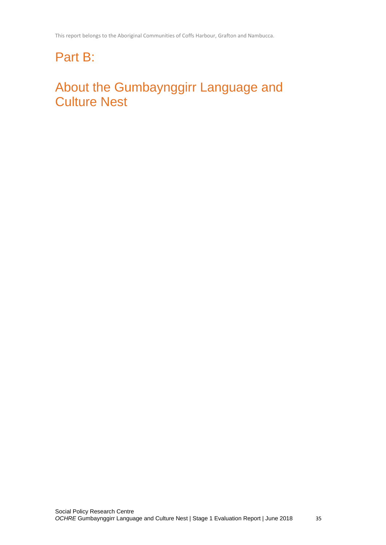# <span id="page-50-0"></span>Part B:

# About the Gumbaynggirr Language and Culture Nest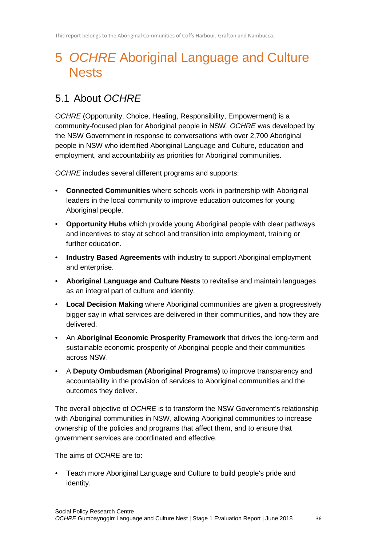# <span id="page-51-0"></span>5 *OCHRE* Aboriginal Language and Culture **Nests**

# <span id="page-51-1"></span>5.1 About *OCHRE*

*OCHRE* (Opportunity, Choice, Healing, Responsibility, Empowerment) is a community-focused plan for Aboriginal people in NSW. *OCHRE* was developed by the NSW Government in response to conversations with over 2,700 Aboriginal people in NSW who identified Aboriginal Language and Culture, education and employment, and accountability as priorities for Aboriginal communities.

*OCHRE* includes several different programs and supports:

- **Connected Communities** where schools work in partnership with Aboriginal leaders in the local community to improve education outcomes for young Aboriginal people.
- **Opportunity Hubs** which provide young Aboriginal people with clear pathways and incentives to stay at school and transition into employment, training or further education.
- **Industry Based Agreements** with industry to support Aboriginal employment and enterprise.
- **Aboriginal Language and Culture Nests** to revitalise and maintain languages as an integral part of culture and identity.
- **Local Decision Making** where Aboriginal communities are given a progressively bigger say in what services are delivered in their communities, and how they are delivered.
- An **Aboriginal Economic Prosperity Framework** that drives the long-term and sustainable economic prosperity of Aboriginal people and their communities across NSW.
- A **Deputy Ombudsman (Aboriginal Programs)** to improve transparency and accountability in the provision of services to Aboriginal communities and the outcomes they deliver.

The overall objective of *OCHRE* is to transform the NSW Government's relationship with Aboriginal communities in NSW, allowing Aboriginal communities to increase ownership of the policies and programs that affect them, and to ensure that government services are coordinated and effective.

The aims of *OCHRE* are to:

• Teach more Aboriginal Language and Culture to build people's pride and identity.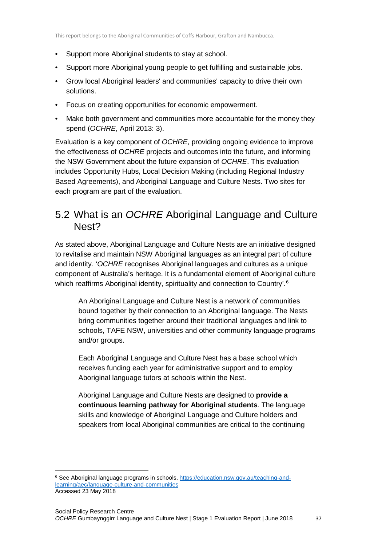- Support more Aboriginal students to stay at school.
- Support more Aboriginal young people to get fulfilling and sustainable jobs.
- Grow local Aboriginal leaders' and communities' capacity to drive their own solutions.
- Focus on creating opportunities for economic empowerment.
- Make both government and communities more accountable for the money they spend (*OCHRE*, April 2013: 3).

Evaluation is a key component of *OCHRE*, providing ongoing evidence to improve the effectiveness of *OCHRE* projects and outcomes into the future, and informing the NSW Government about the future expansion of *OCHRE*. This evaluation includes Opportunity Hubs, Local Decision Making (including Regional Industry Based Agreements), and Aboriginal Language and Culture Nests. Two sites for each program are part of the evaluation.

### <span id="page-52-0"></span>5.2 What is an *OCHRE* Aboriginal Language and Culture Nest?

As stated above, Aboriginal Language and Culture Nests are an initiative designed to revitalise and maintain NSW Aboriginal languages as an integral part of culture and identity. '*OCHRE* recognises Aboriginal languages and cultures as a unique component of Australia's heritage. It is a fundamental element of Aboriginal culture which reaffirms Aboriginal identity, spirituality and connection to Country'.<sup>[6](#page-52-1)</sup>

An Aboriginal Language and Culture Nest is a network of communities bound together by their connection to an Aboriginal language. The Nests bring communities together around their traditional languages and link to schools, TAFE NSW, universities and other community language programs and/or groups.

Each Aboriginal Language and Culture Nest has a base school which receives funding each year for administrative support and to employ Aboriginal language tutors at schools within the Nest.

Aboriginal Language and Culture Nests are designed to **provide a continuous learning pathway for Aboriginal students**. The language skills and knowledge of Aboriginal Language and Culture holders and speakers from local Aboriginal communities are critical to the continuing

**.** 

<span id="page-52-1"></span><sup>&</sup>lt;sup>6</sup> See Aboriginal language programs in schools, [https://education.nsw.gov.au/teaching-and](https://education.nsw.gov.au/teaching-and-learning/aec/language-culture-and-communities)[learning/aec/language-culture-and-communities](https://education.nsw.gov.au/teaching-and-learning/aec/language-culture-and-communities) Accessed 23 May 2018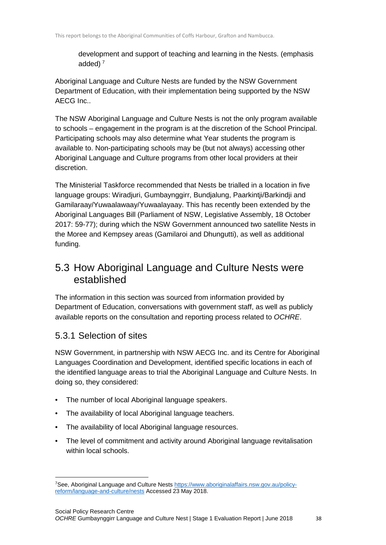development and support of teaching and learning in the Nests. (emphasis added) [7](#page-53-1)

Aboriginal Language and Culture Nests are funded by the NSW Government Department of Education, with their implementation being supported by the NSW AECG Inc..

The NSW Aboriginal Language and Culture Nests is not the only program available to schools – engagement in the program is at the discretion of the School Principal. Participating schools may also determine what Year students the program is available to. Non-participating schools may be (but not always) accessing other Aboriginal Language and Culture programs from other local providers at their discretion.

The Ministerial Taskforce recommended that Nests be trialled in a location in five language groups: Wiradjuri, Gumbaynggirr, Bundjalung, Paarkintji/Barkindji and Gamilaraay/Yuwaalawaay/Yuwaalayaay. This has recently been extended by the Aboriginal Languages Bill (Parliament of NSW, Legislative Assembly, 18 October 2017: 59-77); during which the NSW Government announced two satellite Nests in the Moree and Kempsey areas (Gamilaroi and Dhungutti), as well as additional funding.

### <span id="page-53-0"></span>5.3 How Aboriginal Language and Culture Nests were established

The information in this section was sourced from information provided by Department of Education, conversations with government staff, as well as publicly available reports on the consultation and reporting process related to *OCHRE*.

#### 5.3.1 Selection of sites

NSW Government, in partnership with NSW AECG Inc. and its Centre for Aboriginal Languages Coordination and Development, identified specific locations in each of the identified language areas to trial the Aboriginal Language and Culture Nests. In doing so, they considered:

- The number of local Aboriginal language speakers.
- The availability of local Aboriginal language teachers.
- The availability of local Aboriginal language resources.
- The level of commitment and activity around Aboriginal language revitalisation within local schools.

<span id="page-53-1"></span><sup>&</sup>lt;u>.</u> <sup>7</sup>See, Aboriginal Language and Culture Nests [https://www.aboriginalaffairs.nsw.gov.au/policy](https://www.aboriginalaffairs.nsw.gov.au/policy-reform/language-and-culture/nests)[reform/language-and-culture/nests](https://www.aboriginalaffairs.nsw.gov.au/policy-reform/language-and-culture/nests) Accessed 23 May 2018.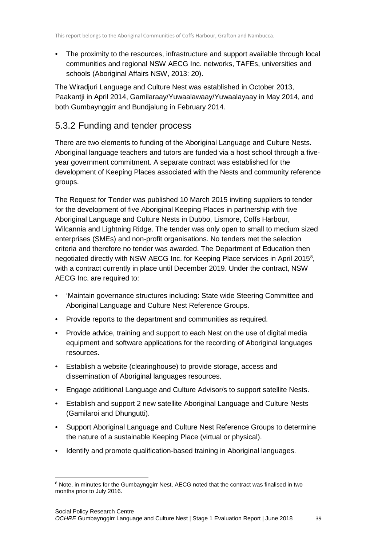• The proximity to the resources, infrastructure and support available through local communities and regional NSW AECG Inc. networks, TAFEs, universities and schools (Aboriginal Affairs NSW, 2013: 20).

The Wiradjuri Language and Culture Nest was established in October 2013, Paakantji in April 2014, Gamilaraay/Yuwaalawaay/Yuwaalayaay in May 2014, and both Gumbaynggirr and Bundjalung in February 2014.

### 5.3.2 Funding and tender process

There are two elements to funding of the Aboriginal Language and Culture Nests. Aboriginal language teachers and tutors are funded via a host school through a fiveyear government commitment. A separate contract was established for the development of Keeping Places associated with the Nests and community reference groups.

The Request for Tender was published 10 March 2015 inviting suppliers to tender for the development of five Aboriginal Keeping Places in partnership with five Aboriginal Language and Culture Nests in Dubbo, Lismore, Coffs Harbour, Wilcannia and Lightning Ridge. The tender was only open to small to medium sized enterprises (SMEs) and non-profit organisations. No tenders met the selection criteria and therefore no tender was awarded. The Department of Education then negotiated directly with NSW AECG Inc. for Keeping Place services in April 2015<sup>[8](#page-54-0)</sup>, with a contract currently in place until December 2019. Under the contract, NSW AECG Inc. are required to:

- 'Maintain governance structures including: State wide Steering Committee and Aboriginal Language and Culture Nest Reference Groups.
- Provide reports to the department and communities as required.
- Provide advice, training and support to each Nest on the use of digital media equipment and software applications for the recording of Aboriginal languages resources.
- Establish a website (clearinghouse) to provide storage, access and dissemination of Aboriginal languages resources.
- Engage additional Language and Culture Advisor/s to support satellite Nests.
- Establish and support 2 new satellite Aboriginal Language and Culture Nests (Gamilaroi and Dhungutti).
- Support Aboriginal Language and Culture Nest Reference Groups to determine the nature of a sustainable Keeping Place (virtual or physical).
- Identify and promote qualification-based training in Aboriginal languages.

<span id="page-54-0"></span><sup>&</sup>lt;u>.</u> <sup>8</sup> Note, in minutes for the Gumbaynggirr Nest, AECG noted that the contract was finalised in two months prior to July 2016.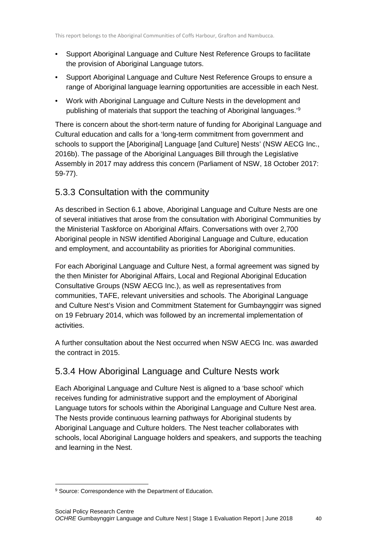- Support Aboriginal Language and Culture Nest Reference Groups to facilitate the provision of Aboriginal Language tutors.
- Support Aboriginal Language and Culture Nest Reference Groups to ensure a range of Aboriginal language learning opportunities are accessible in each Nest.
- Work with Aboriginal Language and Culture Nests in the development and publishing of materials that support the teaching of Aboriginal languages.'[9](#page-55-0)

There is concern about the short-term nature of funding for Aboriginal Language and Cultural education and calls for a 'long-term commitment from government and schools to support the [Aboriginal] Language [and Culture] Nests' (NSW AECG Inc., 2016b). The passage of the Aboriginal Languages Bill through the Legislative Assembly in 2017 may address this concern (Parliament of NSW, 18 October 2017: 59-77).

#### 5.3.3 Consultation with the community

As described in Section [6.1](#page-51-1) above, Aboriginal Language and Culture Nests are one of several initiatives that arose from the consultation with Aboriginal Communities by the Ministerial Taskforce on Aboriginal Affairs. Conversations with over 2,700 Aboriginal people in NSW identified Aboriginal Language and Culture, education and employment, and accountability as priorities for Aboriginal communities.

For each Aboriginal Language and Culture Nest, a formal agreement was signed by the then Minister for Aboriginal Affairs, Local and Regional Aboriginal Education Consultative Groups (NSW AECG Inc.), as well as representatives from communities, TAFE, relevant universities and schools. The Aboriginal Language and Culture Nest's Vision and Commitment Statement for Gumbaynggirr was signed on 19 February 2014, which was followed by an incremental implementation of activities.

A further consultation about the Nest occurred when NSW AECG Inc. was awarded the contract in 2015.

#### 5.3.4 How Aboriginal Language and Culture Nests work

Each Aboriginal Language and Culture Nest is aligned to a 'base school' which receives funding for administrative support and the employment of Aboriginal Language tutors for schools within the Aboriginal Language and Culture Nest area. The Nests provide continuous learning pathways for Aboriginal students by Aboriginal Language and Culture holders. The Nest teacher collaborates with schools, local Aboriginal Language holders and speakers, and supports the teaching and learning in the Nest.

<span id="page-55-0"></span>**<sup>.</sup>** <sup>9</sup> Source: Correspondence with the Department of Education.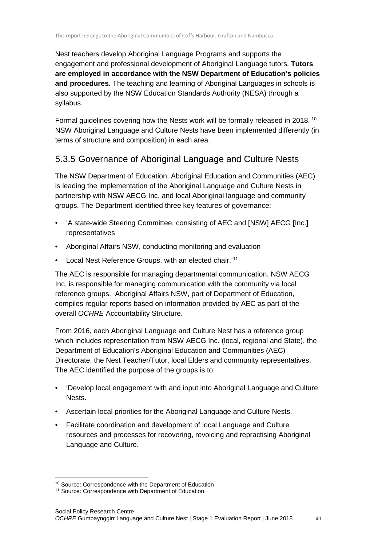Nest teachers develop Aboriginal Language Programs and supports the engagement and professional development of Aboriginal Language tutors. **Tutors are employed in accordance with the NSW Department of Education's policies and procedures**. The teaching and learning of Aboriginal Languages in schools is also supported by the NSW Education Standards Authority (NESA) through a syllabus.

Formal guidelines covering how the Nests work will be formally released in 2018. [10](#page-56-0) NSW Aboriginal Language and Culture Nests have been implemented differently (in terms of structure and composition) in each area.

#### 5.3.5 Governance of Aboriginal Language and Culture Nests

The NSW Department of Education, Aboriginal Education and Communities (AEC) is leading the implementation of the Aboriginal Language and Culture Nests in partnership with NSW AECG Inc. and local Aboriginal language and community groups. The Department identified three key features of governance:

- 'A state-wide Steering Committee, consisting of AEC and [NSW] AECG [Inc.] representatives
- Aboriginal Affairs NSW, conducting monitoring and evaluation
- Local Nest Reference Groups, with an elected chair.<sup>'[11](#page-56-1)</sup>

The AEC is responsible for managing departmental communication. NSW AECG Inc. is responsible for managing communication with the community via local reference groups. Aboriginal Affairs NSW, part of Department of Education, compiles regular reports based on information provided by AEC as part of the overall *OCHRE* Accountability Structure.

From 2016, each Aboriginal Language and Culture Nest has a reference group which includes representation from NSW AECG Inc. (local, regional and State), the Department of Education's Aboriginal Education and Communities (AEC) Directorate, the Nest Teacher/Tutor, local Elders and community representatives. The AEC identified the purpose of the groups is to:

- 'Develop local engagement with and input into Aboriginal Language and Culture Nests.
- Ascertain local priorities for the Aboriginal Language and Culture Nests.
- Facilitate coordination and development of local Language and Culture resources and processes for recovering, revoicing and repractising Aboriginal Language and Culture.

<span id="page-56-0"></span><sup>&</sup>lt;u>.</u> <sup>10</sup> Source: Correspondence with the Department of Education <sup>11</sup> Source: Correspondence with Department of Education.

<span id="page-56-1"></span>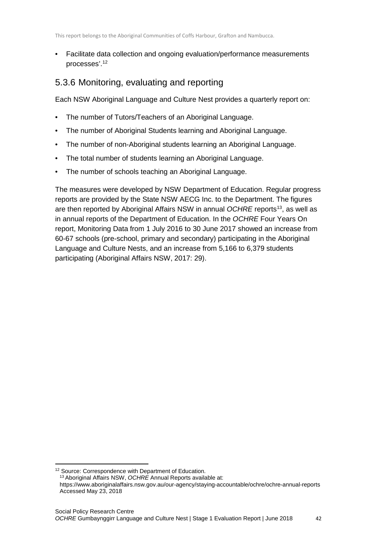This report belongs to the Aboriginal Communities of Coffs Harbour, Grafton and Nambucca.

• Facilitate data collection and ongoing evaluation/performance measurements processes'.[12](#page-57-0)

### 5.3.6 Monitoring, evaluating and reporting

Each NSW Aboriginal Language and Culture Nest provides a quarterly report on:

- The number of Tutors/Teachers of an Aboriginal Language.
- The number of Aboriginal Students learning and Aboriginal Language.
- The number of non-Aboriginal students learning an Aboriginal Language.
- The total number of students learning an Aboriginal Language.
- The number of schools teaching an Aboriginal Language.

The measures were developed by NSW Department of Education. Regular progress reports are provided by the State NSW AECG Inc. to the Department. The figures are then reported by Aboriginal Affairs NSW in annual *OCHRE* reports<sup>13</sup>, as well as in annual reports of the Department of Education. In the *OCHRE* Four Years On report, Monitoring Data from 1 July 2016 to 30 June 2017 showed an increase from 60-67 schools (pre-school, primary and secondary) participating in the Aboriginal Language and Culture Nests, and an increase from 5,166 to 6,379 students participating (Aboriginal Affairs NSW, 2017: 29).

<span id="page-57-1"></span><span id="page-57-0"></span><sup>12</sup> Source: Correspondence with Department of Education. <sup>13</sup> Aboriginal Affairs NSW, *OCHRE* Annual Reports available at: <https://www.aboriginalaffairs.nsw.gov.au/our-agency/staying-accountable/ochre/ochre-annual-reports> Accessed May 23, 2018

**.**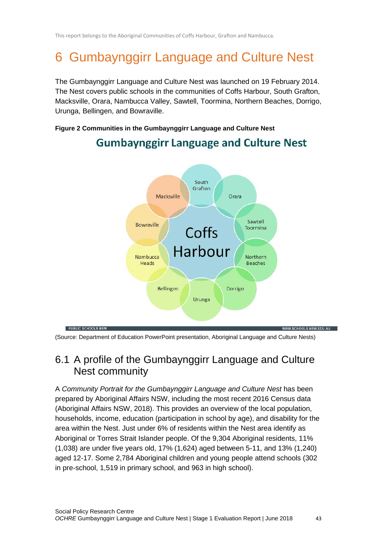# <span id="page-58-0"></span>6 Gumbaynggirr Language and Culture Nest

The Gumbaynggirr Language and Culture Nest was launched on 19 February 2014. The Nest covers public schools in the communities of Coffs Harbour, South Grafton, Macksville, Orara, Nambucca Valley, Sawtell, Toormina, Northern Beaches, Dorrigo, Urunga, Bellingen, and Bowraville.

#### <span id="page-58-2"></span>**Figure 2 Communities in the Gumbaynggirr Language and Culture Nest**



# **Gumbaynggirr Language and Culture Nest**

(Source: Department of Education PowerPoint presentation, Aboriginal Language and Culture Nests)

## <span id="page-58-1"></span>6.1 A profile of the Gumbaynggirr Language and Culture Nest community

A *Community Portrait for the Gumbaynggirr Language and Culture Nest* has been prepared by Aboriginal Affairs NSW, including the most recent 2016 Census data (Aboriginal Affairs NSW, 2018). This provides an overview of the local population, households, income, education (participation in school by age), and disability for the area within the Nest. Just under 6% of residents within the Nest area identify as Aboriginal or Torres Strait Islander people. Of the 9,304 Aboriginal residents, 11% (1,038) are under five years old, 17% (1,624) aged between 5-11, and 13% (1,240) aged 12-17. Some 2,784 Aboriginal children and young people attend schools (302 in pre-school, 1,519 in primary school, and 963 in high school).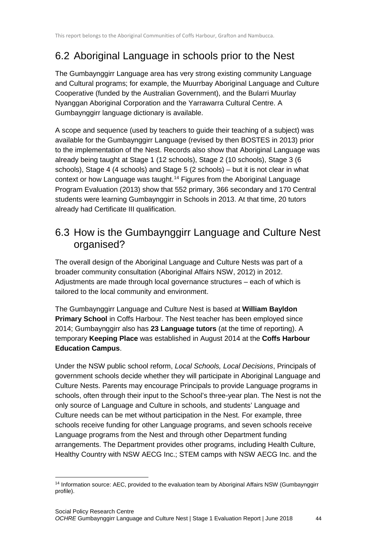# <span id="page-59-0"></span>6.2 Aboriginal Language in schools prior to the Nest

The Gumbaynggirr Language area has very strong existing community Language and Cultural programs; for example, the Muurrbay Aboriginal Language and Culture Cooperative (funded by the Australian Government), and the Bularri Muurlay Nyanggan Aboriginal Corporation and the Yarrawarra Cultural Centre. A Gumbaynggirr language dictionary is available.

A scope and sequence (used by teachers to guide their teaching of a subject) was available for the Gumbaynggirr Language (revised by then BOSTES in 2013) prior to the implementation of the Nest. Records also show that Aboriginal Language was already being taught at Stage 1 (12 schools), Stage 2 (10 schools), Stage 3 (6 schools), Stage 4 (4 schools) and Stage 5 (2 schools) – but it is not clear in what context or how Language was taught.<sup>[14](#page-59-2)</sup> Figures from the Aboriginal Language Program Evaluation (2013) show that 552 primary, 366 secondary and 170 Central students were learning Gumbaynggirr in Schools in 2013. At that time, 20 tutors already had Certificate III qualification.

### <span id="page-59-1"></span>6.3 How is the Gumbaynggirr Language and Culture Nest organised?

The overall design of the Aboriginal Language and Culture Nests was part of a broader community consultation (Aboriginal Affairs NSW, 2012) in 2012. Adjustments are made through local governance structures – each of which is tailored to the local community and environment.

The Gumbaynggirr Language and Culture Nest is based at **William Bayldon Primary School** in Coffs Harbour. The Nest teacher has been employed since 2014; Gumbaynggirr also has **23 Language tutors** (at the time of reporting). A temporary **Keeping Place** was established in August 2014 at the **Coffs Harbour Education Campus**.

Under the NSW public school reform, *Local Schools, Local Decisions*, Principals of government schools decide whether they will participate in Aboriginal Language and Culture Nests. Parents may encourage Principals to provide Language programs in schools, often through their input to the School's three-year plan. The Nest is not the only source of Language and Culture in schools, and students' Language and Culture needs can be met without participation in the Nest. For example, three schools receive funding for other Language programs, and seven schools receive Language programs from the Nest and through other Department funding arrangements. The Department provides other programs, including Health Culture, Healthy Country with NSW AECG Inc.; STEM camps with NSW AECG Inc. and the

<span id="page-59-2"></span><sup>&</sup>lt;u>.</u> <sup>14</sup> Information source: AEC, provided to the evaluation team by Aboriginal Affairs NSW (Gumbaynggirr profile).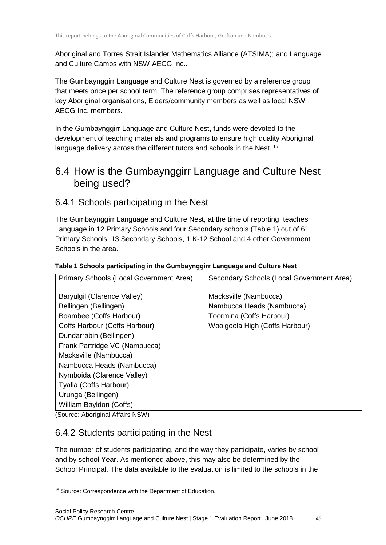Aboriginal and Torres Strait Islander Mathematics Alliance (ATSIMA); and Language and Culture Camps with NSW AECG Inc..

The Gumbaynggirr Language and Culture Nest is governed by a reference group that meets once per school term. The reference group comprises representatives of key Aboriginal organisations, Elders/community members as well as local NSW AECG Inc. members.

In the Gumbaynggirr Language and Culture Nest, funds were devoted to the development of teaching materials and programs to ensure high quality Aboriginal language delivery across the different tutors and schools in the Nest.<sup>[15](#page-60-2)</sup>

### <span id="page-60-0"></span>6.4 How is the Gumbaynggirr Language and Culture Nest being used?

#### 6.4.1 Schools participating in the Nest

The Gumbaynggirr Language and Culture Nest, at the time of reporting, teaches Language in 12 Primary Schools and four Secondary schools [\(Table 1\)](#page-60-1) out of 61 Primary Schools, 13 Secondary Schools, 1 K-12 School and 4 other Government Schools in the area.

| Primary Schools (Local Government Area) | Secondary Schools (Local Government Area) |
|-----------------------------------------|-------------------------------------------|
| Baryulgil (Clarence Valley)             | Macksville (Nambucca)                     |
| Bellingen (Bellingen)                   | Nambucca Heads (Nambucca)                 |
| Boambee (Coffs Harbour)                 | Toormina (Coffs Harbour)                  |
| Coffs Harbour (Coffs Harbour)           | Woolgoola High (Coffs Harbour)            |
| Dundarrabin (Bellingen)                 |                                           |
| Frank Partridge VC (Nambucca)           |                                           |
| Macksville (Nambucca)                   |                                           |
| Nambucca Heads (Nambucca)               |                                           |
| Nymboida (Clarence Valley)              |                                           |
| Tyalla (Coffs Harbour)                  |                                           |
| Urunga (Bellingen)                      |                                           |
| William Bayldon (Coffs)                 |                                           |

#### <span id="page-60-1"></span>**Table 1 Schools participating in the Gumbaynggirr Language and Culture Nest**

(Source: Aboriginal Affairs NSW)

#### 6.4.2 Students participating in the Nest

The number of students participating, and the way they participate, varies by school and by school Year. As mentioned above, this may also be determined by the School Principal. The data available to the evaluation is limited to the schools in the

<span id="page-60-2"></span>**<sup>.</sup>** <sup>15</sup> Source: Correspondence with the Department of Education.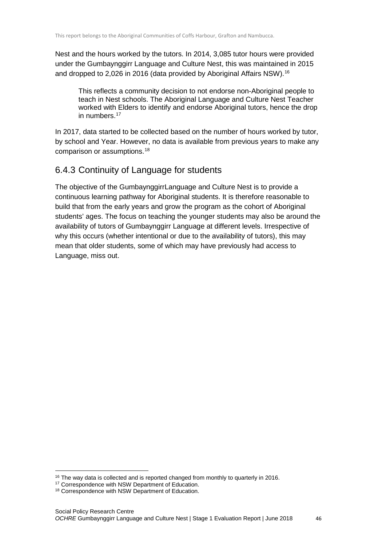Nest and the hours worked by the tutors. In 2014, 3,085 tutor hours were provided under the Gumbaynggirr Language and Culture Nest, this was maintained in 2015 and dropped to 2,026 in 20[16](#page-61-0) (data provided by Aboriginal Affairs NSW).<sup>16</sup>

This reflects a community decision to not endorse non-Aboriginal people to teach in Nest schools. The Aboriginal Language and Culture Nest Teacher worked with Elders to identify and endorse Aboriginal tutors, hence the drop in numbers.<sup>[17](#page-61-1)</sup>

In 2017, data started to be collected based on the number of hours worked by tutor, by school and Year. However, no data is available from previous years to make any comparison or assumptions.[18](#page-61-2)

#### 6.4.3 Continuity of Language for students

The objective of the GumbaynggirrLanguage and Culture Nest is to provide a continuous learning pathway for Aboriginal students. It is therefore reasonable to build that from the early years and grow the program as the cohort of Aboriginal students' ages. The focus on teaching the younger students may also be around the availability of tutors of Gumbaynggirr Language at different levels. Irrespective of why this occurs (whether intentional or due to the availability of tutors), this may mean that older students, some of which may have previously had access to Language, miss out.

**.** 

 $16$  The way data is collected and is reported changed from monthly to quarterly in 2016.

<span id="page-61-1"></span><span id="page-61-0"></span><sup>&</sup>lt;sup>17</sup> Correspondence with NSW Department of Education.

<span id="page-61-2"></span><sup>&</sup>lt;sup>18</sup> Correspondence with NSW Department of Education.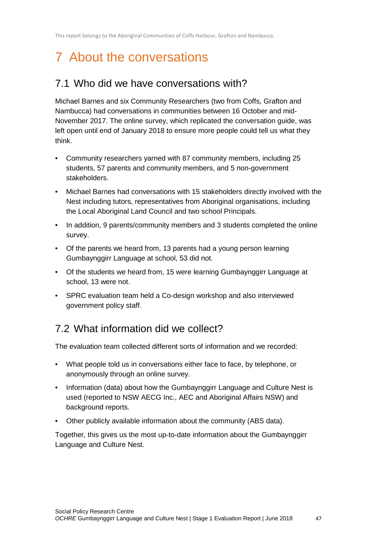# <span id="page-62-0"></span>7 About the conversations

### <span id="page-62-1"></span>7.1 Who did we have conversations with?

Michael Barnes and six Community Researchers (two from Coffs, Grafton and Nambucca) had conversations in communities between 16 October and mid-November 2017. The online survey, which replicated the conversation guide, was left open until end of January 2018 to ensure more people could tell us what they think.

- Community researchers yarned with 87 community members, including 25 students, 57 parents and community members, and 5 non-government stakeholders.
- Michael Barnes had conversations with 15 stakeholders directly involved with the Nest including tutors, representatives from Aboriginal organisations, including the Local Aboriginal Land Council and two school Principals.
- In addition, 9 parents/community members and 3 students completed the online survey.
- Of the parents we heard from, 13 parents had a young person learning Gumbaynggirr Language at school, 53 did not.
- Of the students we heard from, 15 were learning Gumbaynggirr Language at school, 13 were not.
- SPRC evaluation team held a Co-design workshop and also interviewed government policy staff.

# <span id="page-62-2"></span>7.2 What information did we collect?

The evaluation team collected different sorts of information and we recorded:

- What people told us in conversations either face to face, by telephone, or anonymously through an online survey.
- Information (data) about how the Gumbaynggirr Language and Culture Nest is used (reported to NSW AECG Inc., AEC and Aboriginal Affairs NSW) and background reports.
- Other publicly available information about the community (ABS data).

Together, this gives us the most up-to-date information about the Gumbaynggirr Language and Culture Nest.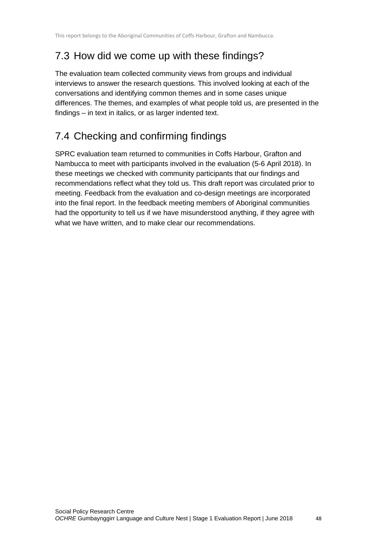### <span id="page-63-0"></span>7.3 How did we come up with these findings?

The evaluation team collected community views from groups and individual interviews to answer the research questions. This involved looking at each of the conversations and identifying common themes and in some cases unique differences. The themes, and examples of what people told us, are presented in the findings – in text in italics, or as larger indented text.

# <span id="page-63-1"></span>7.4 Checking and confirming findings

SPRC evaluation team returned to communities in Coffs Harbour, Grafton and Nambucca to meet with participants involved in the evaluation (5-6 April 2018). In these meetings we checked with community participants that our findings and recommendations reflect what they told us. This draft report was circulated prior to meeting. Feedback from the evaluation and co-design meetings are incorporated into the final report. In the feedback meeting members of Aboriginal communities had the opportunity to tell us if we have misunderstood anything, if they agree with what we have written, and to make clear our recommendations.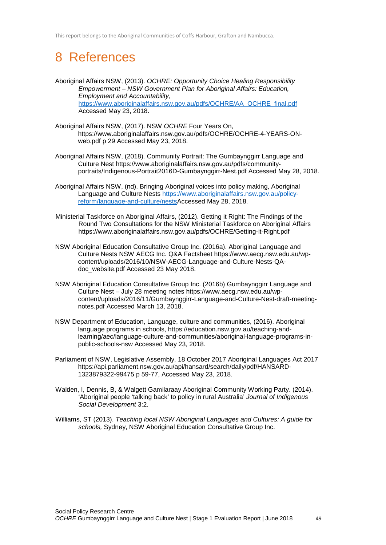This report belongs to the Aboriginal Communities of Coffs Harbour, Grafton and Nambucca.

# <span id="page-64-0"></span>8 References

- Aboriginal Affairs NSW, (2013). *OCHRE: Opportunity Choice Healing Responsibility Empowerment – NSW Government Plan for Aboriginal Affairs: Education, Employment and Accountability*, [https://www.aboriginalaffairs.nsw.gov.au/pdfs/OCHRE/AA\\_OCHRE\\_final.pdf](https://www.aboriginalaffairs.nsw.gov.au/pdfs/OCHRE/AA_OCHRE_final.pdf) Accessed May 23, 2018.
- Aboriginal Affairs NSW, (2017). NSW *OCHRE* Four Years On, https://www.aboriginalaffairs.nsw.gov.au/pdfs/OCHRE/OCHRE-4-YEARS-ONweb.pdf p 29 Accessed May 23, 2018.
- Aboriginal Affairs NSW, (2018). Community Portrait: The Gumbaynggirr Language and Culture Nest https://www.aboriginalaffairs.nsw.gov.au/pdfs/communityportraits/Indigenous-Portrait2016D-Gumbaynggirr-Nest.pdf Accessed May 28, 2018.
- Aboriginal Affairs NSW, (nd). Bringing Aboriginal voices into policy making, Aboriginal Language and Culture Nests [https://www.aboriginalaffairs.nsw.gov.au/policy](https://www.aboriginalaffairs.nsw.gov.au/policy-reform/language-and-culture/nests)[reform/language-and-culture/nestsA](https://www.aboriginalaffairs.nsw.gov.au/policy-reform/language-and-culture/nests)ccessed May 28, 2018.
- Ministerial Taskforce on Aboriginal Affairs, (2012). Getting it Right: The Findings of the Round Two Consultations for the NSW Ministerial Taskforce on Aboriginal Affairs <https://www.aboriginalaffairs.nsw.gov.au/pdfs/OCHRE/Getting-it-Right.pdf>
- NSW Aboriginal Education Consultative Group Inc. (2016a). Aboriginal Language and Culture Nests NSW AECG Inc. Q&A Factsheet [https://www.aecg.nsw.edu.au/wp](https://www.aecg.nsw.edu.au/wp-content/uploads/2016/10/NSW-AECG-Language-and-Culture-Nests-QA-doc_website.pdf)[content/uploads/2016/10/NSW-AECG-Language-and-Culture-Nests-QA](https://www.aecg.nsw.edu.au/wp-content/uploads/2016/10/NSW-AECG-Language-and-Culture-Nests-QA-doc_website.pdf)[doc\\_website.pdf](https://www.aecg.nsw.edu.au/wp-content/uploads/2016/10/NSW-AECG-Language-and-Culture-Nests-QA-doc_website.pdf) Accessed 23 May 2018.
- NSW Aboriginal Education Consultative Group Inc. (2016b) Gumbaynggirr Language and Culture Nest – July 28 meeting notes [https://www.aecg.nsw.edu.au/wp](https://www.aecg.nsw.edu.au/wp-content/uploads/2016/11/Gumbaynggirr-Language-and-Culture-Nest-draft-meeting-notes.pdf)[content/uploads/2016/11/Gumbaynggirr-Language-and-Culture-Nest-draft-meeting](https://www.aecg.nsw.edu.au/wp-content/uploads/2016/11/Gumbaynggirr-Language-and-Culture-Nest-draft-meeting-notes.pdf)[notes.pdf](https://www.aecg.nsw.edu.au/wp-content/uploads/2016/11/Gumbaynggirr-Language-and-Culture-Nest-draft-meeting-notes.pdf) Accessed March 13, 2018.
- NSW Department of Education, Language, culture and communities, (2016). Aboriginal language programs in schools, [https://education.nsw.gov.au/teaching-and](https://education.nsw.gov.au/teaching-and-learning/aec/language-culture-and-communities/aboriginal-language-programs-in-public-schools-nsw)[learning/aec/language-culture-and-communities/aboriginal-language-programs-in](https://education.nsw.gov.au/teaching-and-learning/aec/language-culture-and-communities/aboriginal-language-programs-in-public-schools-nsw)[public-schools-nsw](https://education.nsw.gov.au/teaching-and-learning/aec/language-culture-and-communities/aboriginal-language-programs-in-public-schools-nsw) Accessed May 23, 2018.
- Parliament of NSW, Legislative Assembly, 18 October 2017 Aboriginal Languages Act 2017 [https://api.parliament.nsw.gov.au/api/hansard/search/daily/pdf/HANSARD-](https://api.parliament.nsw.gov.au/api/hansard/search/daily/pdf/HANSARD-1323879322-99475)[1323879322-99475](https://api.parliament.nsw.gov.au/api/hansard/search/daily/pdf/HANSARD-1323879322-99475) p 59-77, Accessed May 23, 2018.
- Walden, I, Dennis, B, & Walgett Gamilaraay Aboriginal Community Working Party. (2014). 'Aboriginal people 'talking back' to policy in rural Australia' *Journal of Indigenous Social Development* 3:2.
- Williams, ST (2013). *Teaching local NSW Aboriginal Languages and Cultures: A guide for schools,* Sydney, NSW Aboriginal Education Consultative Group Inc.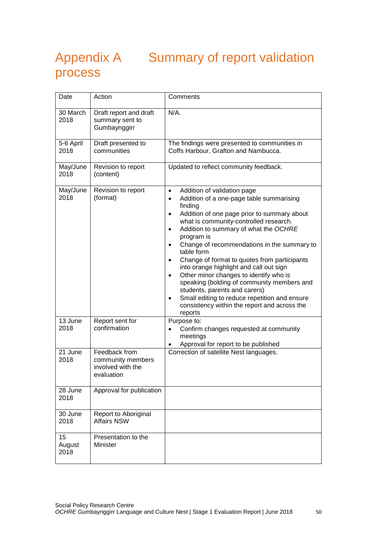# process

.

# <span id="page-65-0"></span>Appendix A Summary of report validation

| Date                 | Action                                                                | Comments                                                                                                                                                                                                                                                                                                                                                                                                                                                                                                                                                                                                                                                                                                                                |
|----------------------|-----------------------------------------------------------------------|-----------------------------------------------------------------------------------------------------------------------------------------------------------------------------------------------------------------------------------------------------------------------------------------------------------------------------------------------------------------------------------------------------------------------------------------------------------------------------------------------------------------------------------------------------------------------------------------------------------------------------------------------------------------------------------------------------------------------------------------|
| 30 March<br>2018     | Draft report and draft<br>summary sent to<br>Gumbaynggirr             | $N/A$ .                                                                                                                                                                                                                                                                                                                                                                                                                                                                                                                                                                                                                                                                                                                                 |
| 5-6 April<br>2018    | Draft presented to<br>communities                                     | The findings were presented to communities in<br>Coffs Harbour, Grafton and Nambucca.                                                                                                                                                                                                                                                                                                                                                                                                                                                                                                                                                                                                                                                   |
| May/June<br>2018     | Revision to report<br>(content)                                       | Updated to reflect community feedback.                                                                                                                                                                                                                                                                                                                                                                                                                                                                                                                                                                                                                                                                                                  |
| May/June<br>2018     | Revision to report<br>(format)                                        | Addition of validation page<br>$\bullet$<br>Addition of a one-page table summarising<br>$\bullet$<br>finding<br>Addition of one page prior to summary about<br>$\bullet$<br>what is community-controlled research.<br>Addition to summary of what the OCHRE<br>$\bullet$<br>program is<br>Change of recommendations in the summary to<br>$\bullet$<br>table form<br>Change of format to quotes from participants<br>$\bullet$<br>into orange highlight and call out sign<br>Other minor changes to identify who is<br>$\bullet$<br>speaking (bolding of community members and<br>students, parents and carers)<br>Small editing to reduce repetition and ensure<br>$\bullet$<br>consistency within the report and across the<br>reports |
| 13 June<br>2018      | Report sent for<br>confirmation                                       | Purpose to:<br>Confirm changes requested at community<br>$\bullet$<br>meetings<br>Approval for report to be published                                                                                                                                                                                                                                                                                                                                                                                                                                                                                                                                                                                                                   |
| 21 June<br>2018      | Feedback from<br>community members<br>involved with the<br>evaluation | Correction of satellite Nest languages.                                                                                                                                                                                                                                                                                                                                                                                                                                                                                                                                                                                                                                                                                                 |
| 28 June<br>2018      | Approval for publication                                              |                                                                                                                                                                                                                                                                                                                                                                                                                                                                                                                                                                                                                                                                                                                                         |
| 30 June<br>2018      | Report to Aboriginal<br><b>Affairs NSW</b>                            |                                                                                                                                                                                                                                                                                                                                                                                                                                                                                                                                                                                                                                                                                                                                         |
| 15<br>August<br>2018 | Presentation to the<br>Minister                                       |                                                                                                                                                                                                                                                                                                                                                                                                                                                                                                                                                                                                                                                                                                                                         |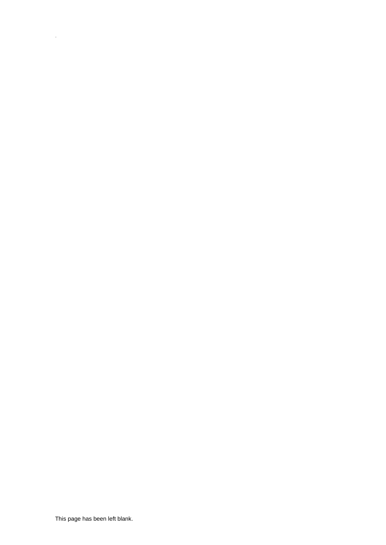This page has been left blank.

.